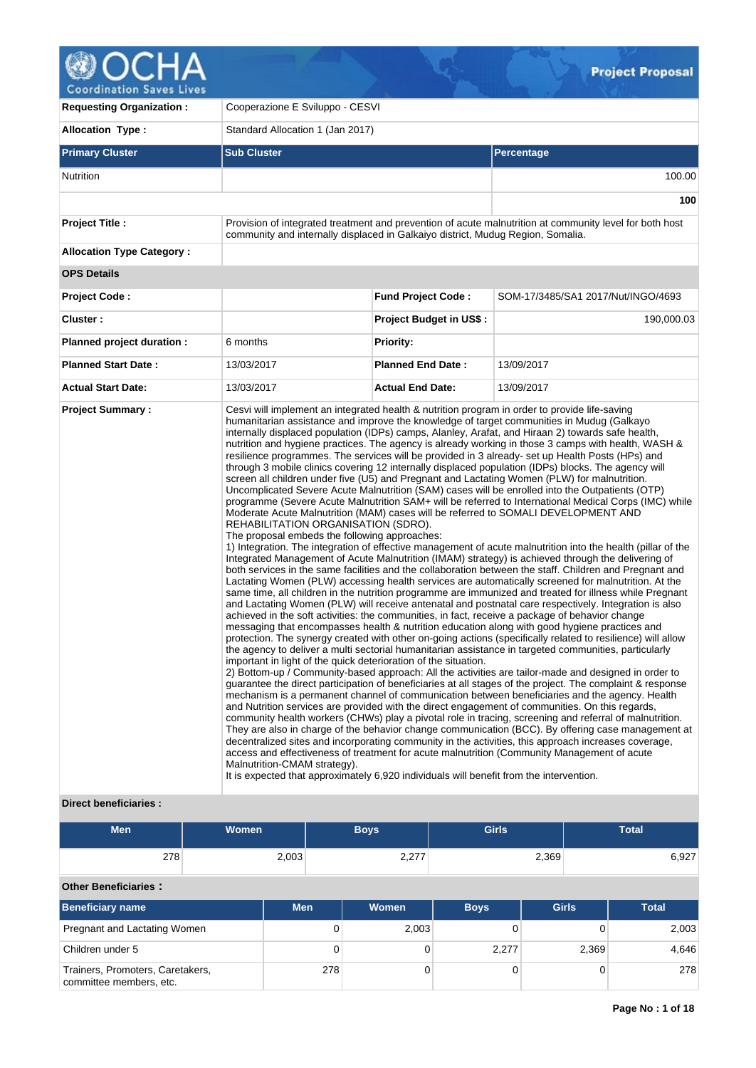

| <b>Requesting Organization:</b>  |                                                                     | Cooperazione E Sviluppo - CESVI                                                                                                                                                                                                                                                                                                                                                                                                                                                                                                                                                                                                                                                                                                                                                                   |                                                                                                                                                                                                                                                                                                                                                                                                                                                                                                                                                                                                                                                                                                                                                                                                                                                                                                                                                                                                                                                                                                                                                                                                                                                                                                                                                                                                                                                                                                                                                                                                                                                                                                                                                                                                                                                                                                                                                                                                                                                                                                                                                                                                                                                                                                                                                                          |  |  |  |  |  |  |  |  |
|----------------------------------|---------------------------------------------------------------------|---------------------------------------------------------------------------------------------------------------------------------------------------------------------------------------------------------------------------------------------------------------------------------------------------------------------------------------------------------------------------------------------------------------------------------------------------------------------------------------------------------------------------------------------------------------------------------------------------------------------------------------------------------------------------------------------------------------------------------------------------------------------------------------------------|--------------------------------------------------------------------------------------------------------------------------------------------------------------------------------------------------------------------------------------------------------------------------------------------------------------------------------------------------------------------------------------------------------------------------------------------------------------------------------------------------------------------------------------------------------------------------------------------------------------------------------------------------------------------------------------------------------------------------------------------------------------------------------------------------------------------------------------------------------------------------------------------------------------------------------------------------------------------------------------------------------------------------------------------------------------------------------------------------------------------------------------------------------------------------------------------------------------------------------------------------------------------------------------------------------------------------------------------------------------------------------------------------------------------------------------------------------------------------------------------------------------------------------------------------------------------------------------------------------------------------------------------------------------------------------------------------------------------------------------------------------------------------------------------------------------------------------------------------------------------------------------------------------------------------------------------------------------------------------------------------------------------------------------------------------------------------------------------------------------------------------------------------------------------------------------------------------------------------------------------------------------------------------------------------------------------------------------------------------------------------|--|--|--|--|--|--|--|--|
| <b>Allocation Type:</b>          | Standard Allocation 1 (Jan 2017)                                    |                                                                                                                                                                                                                                                                                                                                                                                                                                                                                                                                                                                                                                                                                                                                                                                                   |                                                                                                                                                                                                                                                                                                                                                                                                                                                                                                                                                                                                                                                                                                                                                                                                                                                                                                                                                                                                                                                                                                                                                                                                                                                                                                                                                                                                                                                                                                                                                                                                                                                                                                                                                                                                                                                                                                                                                                                                                                                                                                                                                                                                                                                                                                                                                                          |  |  |  |  |  |  |  |  |
| <b>Primary Cluster</b>           | <b>Sub Cluster</b>                                                  |                                                                                                                                                                                                                                                                                                                                                                                                                                                                                                                                                                                                                                                                                                                                                                                                   | Percentage                                                                                                                                                                                                                                                                                                                                                                                                                                                                                                                                                                                                                                                                                                                                                                                                                                                                                                                                                                                                                                                                                                                                                                                                                                                                                                                                                                                                                                                                                                                                                                                                                                                                                                                                                                                                                                                                                                                                                                                                                                                                                                                                                                                                                                                                                                                                                               |  |  |  |  |  |  |  |  |
| <b>Nutrition</b>                 |                                                                     |                                                                                                                                                                                                                                                                                                                                                                                                                                                                                                                                                                                                                                                                                                                                                                                                   | 100.00                                                                                                                                                                                                                                                                                                                                                                                                                                                                                                                                                                                                                                                                                                                                                                                                                                                                                                                                                                                                                                                                                                                                                                                                                                                                                                                                                                                                                                                                                                                                                                                                                                                                                                                                                                                                                                                                                                                                                                                                                                                                                                                                                                                                                                                                                                                                                                   |  |  |  |  |  |  |  |  |
|                                  |                                                                     |                                                                                                                                                                                                                                                                                                                                                                                                                                                                                                                                                                                                                                                                                                                                                                                                   | 100                                                                                                                                                                                                                                                                                                                                                                                                                                                                                                                                                                                                                                                                                                                                                                                                                                                                                                                                                                                                                                                                                                                                                                                                                                                                                                                                                                                                                                                                                                                                                                                                                                                                                                                                                                                                                                                                                                                                                                                                                                                                                                                                                                                                                                                                                                                                                                      |  |  |  |  |  |  |  |  |
| <b>Project Title:</b>            |                                                                     | community and internally displaced in Galkaiyo district, Mudug Region, Somalia.                                                                                                                                                                                                                                                                                                                                                                                                                                                                                                                                                                                                                                                                                                                   | Provision of integrated treatment and prevention of acute malnutrition at community level for both host                                                                                                                                                                                                                                                                                                                                                                                                                                                                                                                                                                                                                                                                                                                                                                                                                                                                                                                                                                                                                                                                                                                                                                                                                                                                                                                                                                                                                                                                                                                                                                                                                                                                                                                                                                                                                                                                                                                                                                                                                                                                                                                                                                                                                                                                  |  |  |  |  |  |  |  |  |
| <b>Allocation Type Category:</b> |                                                                     |                                                                                                                                                                                                                                                                                                                                                                                                                                                                                                                                                                                                                                                                                                                                                                                                   |                                                                                                                                                                                                                                                                                                                                                                                                                                                                                                                                                                                                                                                                                                                                                                                                                                                                                                                                                                                                                                                                                                                                                                                                                                                                                                                                                                                                                                                                                                                                                                                                                                                                                                                                                                                                                                                                                                                                                                                                                                                                                                                                                                                                                                                                                                                                                                          |  |  |  |  |  |  |  |  |
| <b>OPS Details</b>               |                                                                     |                                                                                                                                                                                                                                                                                                                                                                                                                                                                                                                                                                                                                                                                                                                                                                                                   |                                                                                                                                                                                                                                                                                                                                                                                                                                                                                                                                                                                                                                                                                                                                                                                                                                                                                                                                                                                                                                                                                                                                                                                                                                                                                                                                                                                                                                                                                                                                                                                                                                                                                                                                                                                                                                                                                                                                                                                                                                                                                                                                                                                                                                                                                                                                                                          |  |  |  |  |  |  |  |  |
| Project Code:                    |                                                                     | <b>Fund Project Code:</b>                                                                                                                                                                                                                                                                                                                                                                                                                                                                                                                                                                                                                                                                                                                                                                         | SOM-17/3485/SA1 2017/Nut/INGO/4693                                                                                                                                                                                                                                                                                                                                                                                                                                                                                                                                                                                                                                                                                                                                                                                                                                                                                                                                                                                                                                                                                                                                                                                                                                                                                                                                                                                                                                                                                                                                                                                                                                                                                                                                                                                                                                                                                                                                                                                                                                                                                                                                                                                                                                                                                                                                       |  |  |  |  |  |  |  |  |
| Cluster:                         |                                                                     | <b>Project Budget in US\$:</b>                                                                                                                                                                                                                                                                                                                                                                                                                                                                                                                                                                                                                                                                                                                                                                    | 190,000.03                                                                                                                                                                                                                                                                                                                                                                                                                                                                                                                                                                                                                                                                                                                                                                                                                                                                                                                                                                                                                                                                                                                                                                                                                                                                                                                                                                                                                                                                                                                                                                                                                                                                                                                                                                                                                                                                                                                                                                                                                                                                                                                                                                                                                                                                                                                                                               |  |  |  |  |  |  |  |  |
| Planned project duration :       | 6 months                                                            | Priority:                                                                                                                                                                                                                                                                                                                                                                                                                                                                                                                                                                                                                                                                                                                                                                                         |                                                                                                                                                                                                                                                                                                                                                                                                                                                                                                                                                                                                                                                                                                                                                                                                                                                                                                                                                                                                                                                                                                                                                                                                                                                                                                                                                                                                                                                                                                                                                                                                                                                                                                                                                                                                                                                                                                                                                                                                                                                                                                                                                                                                                                                                                                                                                                          |  |  |  |  |  |  |  |  |
| <b>Planned Start Date:</b>       | 13/03/2017                                                          | <b>Planned End Date:</b>                                                                                                                                                                                                                                                                                                                                                                                                                                                                                                                                                                                                                                                                                                                                                                          | 13/09/2017                                                                                                                                                                                                                                                                                                                                                                                                                                                                                                                                                                                                                                                                                                                                                                                                                                                                                                                                                                                                                                                                                                                                                                                                                                                                                                                                                                                                                                                                                                                                                                                                                                                                                                                                                                                                                                                                                                                                                                                                                                                                                                                                                                                                                                                                                                                                                               |  |  |  |  |  |  |  |  |
| <b>Actual Start Date:</b>        | 13/03/2017                                                          | <b>Actual End Date:</b>                                                                                                                                                                                                                                                                                                                                                                                                                                                                                                                                                                                                                                                                                                                                                                           | 13/09/2017                                                                                                                                                                                                                                                                                                                                                                                                                                                                                                                                                                                                                                                                                                                                                                                                                                                                                                                                                                                                                                                                                                                                                                                                                                                                                                                                                                                                                                                                                                                                                                                                                                                                                                                                                                                                                                                                                                                                                                                                                                                                                                                                                                                                                                                                                                                                                               |  |  |  |  |  |  |  |  |
| <b>Project Summary:</b>          | REHABILITATION ORGANISATION (SDRO).<br>Malnutrition-CMAM strategy). | Cesvi will implement an integrated health & nutrition program in order to provide life-saving<br>humanitarian assistance and improve the knowledge of target communities in Mudug (Galkayo<br>screen all children under five (U5) and Pregnant and Lactating Women (PLW) for malnutrition.<br>Moderate Acute Malnutrition (MAM) cases will be referred to SOMALI DEVELOPMENT AND<br>The proposal embeds the following approaches:<br>achieved in the soft activities: the communities, in fact, receive a package of behavior change<br>important in light of the quick deterioration of the situation.<br>access and effectiveness of treatment for acute malnutrition (Community Management of acute<br>It is expected that approximately 6,920 individuals will benefit from the intervention. | internally displaced population (IDPs) camps, Alanley, Arafat, and Hiraan 2) towards safe health,<br>nutrition and hygiene practices. The agency is already working in those 3 camps with health, WASH &<br>resilience programmes. The services will be provided in 3 already- set up Health Posts (HPs) and<br>through 3 mobile clinics covering 12 internally displaced population (IDPs) blocks. The agency will<br>Uncomplicated Severe Acute Malnutrition (SAM) cases will be enrolled into the Outpatients (OTP)<br>programme (Severe Acute Malnutrition SAM+ will be referred to International Medical Corps (IMC) while<br>1) Integration. The integration of effective management of acute malnutrition into the health (pillar of the<br>Integrated Management of Acute Malnutrition (IMAM) strategy) is achieved through the delivering of<br>both services in the same facilities and the collaboration between the staff. Children and Pregnant and<br>Lactating Women (PLW) accessing health services are automatically screened for malnutrition. At the<br>same time, all children in the nutrition programme are immunized and treated for illness while Pregnant<br>and Lactating Women (PLW) will receive antenatal and postnatal care respectively. Integration is also<br>messaging that encompasses health & nutrition education along with good hygiene practices and<br>protection. The synergy created with other on-going actions (specifically related to resilience) will allow<br>the agency to deliver a multi sectorial humanitarian assistance in targeted communities, particularly<br>2) Bottom-up / Community-based approach: All the activities are tailor-made and designed in order to<br>guarantee the direct participation of beneficiaries at all stages of the project. The complaint & response<br>mechanism is a permanent channel of communication between beneficiaries and the agency. Health<br>and Nutrition services are provided with the direct engagement of communities. On this regards,<br>community health workers (CHWs) play a pivotal role in tracing, screening and referral of malnutrition.<br>They are also in charge of the behavior change communication (BCC). By offering case management at<br>decentralized sites and incorporating community in the activities, this approach increases coverage, |  |  |  |  |  |  |  |  |

# **Direct beneficiaries :**

| <b>Men</b>                                                  | <b>Women</b> |     | <b>Boys</b>  | <b>Girls</b> |              | <b>Total</b> |  |  |  |  |  |
|-------------------------------------------------------------|--------------|-----|--------------|--------------|--------------|--------------|--|--|--|--|--|
| 278                                                         | 2,003        |     | 2,277        |              | 2,369        | 6,927        |  |  |  |  |  |
| <b>Other Beneficiaries:</b>                                 |              |     |              |              |              |              |  |  |  |  |  |
| Beneficiary name                                            | <b>Men</b>   |     | <b>Women</b> | <b>Boys</b>  | <b>Girls</b> | <b>Total</b> |  |  |  |  |  |
| Pregnant and Lactating Women                                |              | 0   | 2,003        |              |              | 2,003        |  |  |  |  |  |
| Children under 5                                            |              | 0   | $\Omega$     | 2,277        | 2,369        | 4,646        |  |  |  |  |  |
| Trainers, Promoters, Caretakers,<br>committee members, etc. |              | 278 |              | 0            |              | 278          |  |  |  |  |  |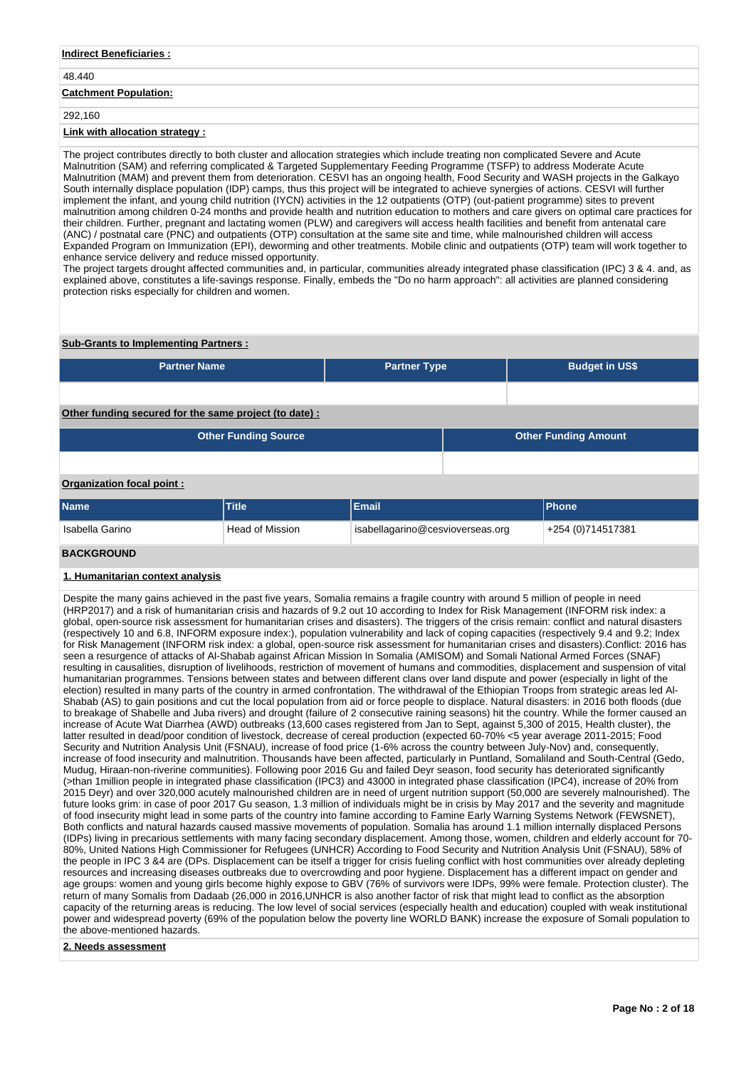### **Indirect Beneficiaries :**

# 48.440

# **Catchment Population:**

### 292,160

# **Link with allocation strategy :**

The project contributes directly to both cluster and allocation strategies which include treating non complicated Severe and Acute Malnutrition (SAM) and referring complicated & Targeted Supplementary Feeding Programme (TSFP) to address Moderate Acute Malnutrition (MAM) and prevent them from deterioration. CESVI has an ongoing health, Food Security and WASH projects in the Galkayo South internally displace population (IDP) camps, thus this project will be integrated to achieve synergies of actions. CESVI will further implement the infant, and young child nutrition (IYCN) activities in the 12 outpatients (OTP) (out-patient programme) sites to prevent malnutrition among children 0-24 months and provide health and nutrition education to mothers and care givers on optimal care practices for their children. Further, pregnant and lactating women (PLW) and caregivers will access health facilities and benefit from antenatal care (ANC) / postnatal care (PNC) and outpatients (OTP) consultation at the same site and time, while malnourished children will access Expanded Program on Immunization (EPI), deworming and other treatments. Mobile clinic and outpatients (OTP) team will work together to enhance service delivery and reduce missed opportunity.

The project targets drought affected communities and, in particular, communities already integrated phase classification (IPC) 3 & 4. and, as explained above, constitutes a life-savings response. Finally, embeds the "Do no harm approach": all activities are planned considering protection risks especially for children and women.

### **Sub-Grants to Implementing Partners :**

| <b>Partner Name</b>                                   | <b>Partner Type</b> | <b>Budget in US\$</b>       |  |
|-------------------------------------------------------|---------------------|-----------------------------|--|
|                                                       |                     |                             |  |
| Other funding secured for the same project (to date): |                     |                             |  |
| <b>Other Funding Source</b>                           |                     | <b>Other Funding Amount</b> |  |
|                                                       |                     |                             |  |

# **Organization focal point :**

| <b>Name</b>                                                            | Title | <b>Email</b> | <b>IPhone</b>     |
|------------------------------------------------------------------------|-------|--------------|-------------------|
| isabellagarino@cesvioverseas.org<br>Head of Mission<br>Isabella Garino |       |              | +254 (0)714517381 |
| <b><i>RACKCROLIND</i></b>                                              |       |              |                   |

# **BACKGROUND**

## **1. Humanitarian context analysis**

Despite the many gains achieved in the past five years, Somalia remains a fragile country with around 5 million of people in need (HRP2017) and a risk of humanitarian crisis and hazards of 9.2 out 10 according to Index for Risk Management (INFORM risk index: a global, open-source risk assessment for humanitarian crises and disasters). The triggers of the crisis remain: conflict and natural disasters (respectively 10 and 6.8, INFORM exposure index:), population vulnerability and lack of coping capacities (respectively 9.4 and 9.2; Index for Risk Management (INFORM risk index: a global, open-source risk assessment for humanitarian crises and disasters).Conflict: 2016 has seen a resurgence of attacks of Al-Shabab against African Mission In Somalia (AMISOM) and Somali National Armed Forces (SNAF) resulting in causalities, disruption of livelihoods, restriction of movement of humans and commodities, displacement and suspension of vital humanitarian programmes. Tensions between states and between different clans over land dispute and power (especially in light of the election) resulted in many parts of the country in armed confrontation. The withdrawal of the Ethiopian Troops from strategic areas led Al-Shabab (AS) to gain positions and cut the local population from aid or force people to displace. Natural disasters: in 2016 both floods (due to breakage of Shabelle and Juba rivers) and drought (failure of 2 consecutive raining seasons) hit the country. While the former caused an increase of Acute Wat Diarrhea (AWD) outbreaks (13,600 cases registered from Jan to Sept, against 5,300 of 2015, Health cluster), the latter resulted in dead/poor condition of livestock, decrease of cereal production (expected 60-70% <5 year average 2011-2015; Food Security and Nutrition Analysis Unit (FSNAU), increase of food price (1-6% across the country between July-Nov) and, consequently, increase of food insecurity and malnutrition. Thousands have been affected, particularly in Puntland, Somaliland and South-Central (Gedo, Mudug, Hiraan-non-riverine communities). Following poor 2016 Gu and failed Deyr season, food security has deteriorated significantly (>than 1million people in integrated phase classification (IPC3) and 43000 in integrated phase classification (IPC4), increase of 20% from 2015 Deyr) and over 320,000 acutely malnourished children are in need of urgent nutrition support (50,000 are severely malnourished). The future looks grim: in case of poor 2017 Gu season, 1.3 million of individuals might be in crisis by May 2017 and the severity and magnitude of food insecurity might lead in some parts of the country into famine according to Famine Early Warning Systems Network (FEWSNET), Both conflicts and natural hazards caused massive movements of population. Somalia has around 1.1 million internally displaced Persons (IDPs) living in precarious settlements with many facing secondary displacement. Among those, women, children and elderly account for 70- 80%, United Nations High Commissioner for Refugees (UNHCR) According to Food Security and Nutrition Analysis Unit (FSNAU), 58% of the people in IPC 3 &4 are (DPs. Displacement can be itself a trigger for crisis fueling conflict with host communities over already depleting resources and increasing diseases outbreaks due to overcrowding and poor hygiene. Displacement has a different impact on gender and age groups: women and young girls become highly expose to GBV (76% of survivors were IDPs, 99% were female. Protection cluster). The return of many Somalis from Dadaab (26,000 in 2016,UNHCR is also another factor of risk that might lead to conflict as the absorption capacity of the returning areas is reducing. The low level of social services (especially health and education) coupled with weak institutional power and widespread poverty (69% of the population below the poverty line WORLD BANK) increase the exposure of Somali population to the above-mentioned hazards.

#### **2. Needs assessment**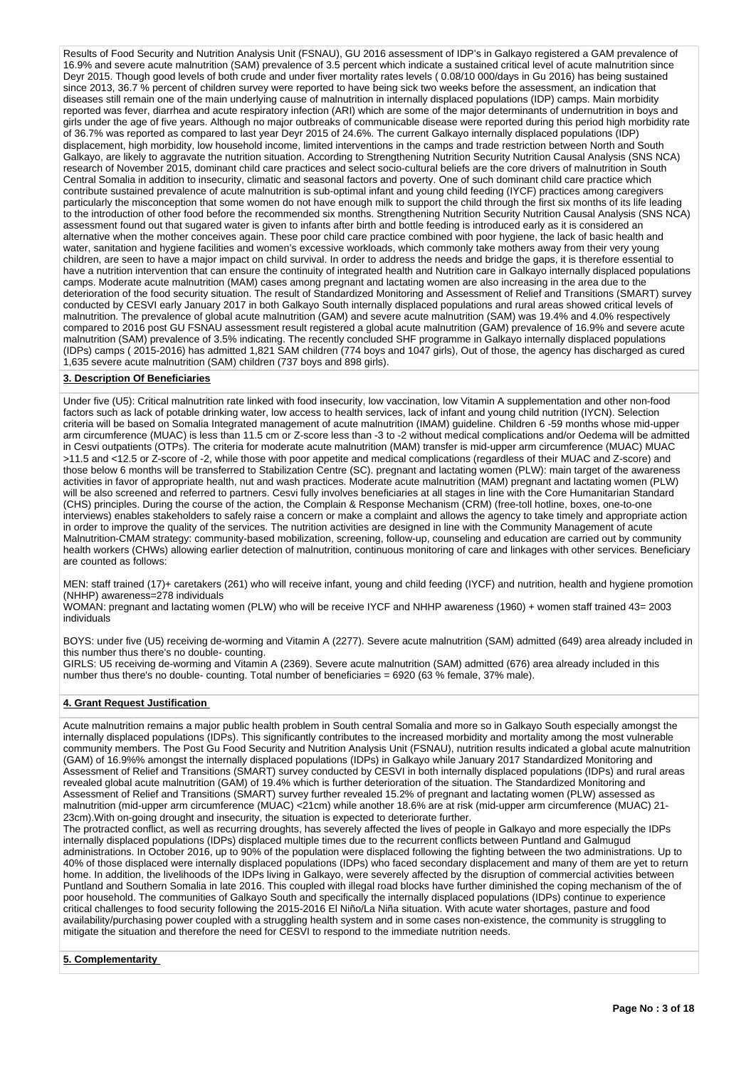Results of Food Security and Nutrition Analysis Unit (FSNAU), GU 2016 assessment of IDP's in Galkayo registered a GAM prevalence of 16.9% and severe acute malnutrition (SAM) prevalence of 3.5 percent which indicate a sustained critical level of acute malnutrition since Deyr 2015. Though good levels of both crude and under fiver mortality rates levels ( 0.08/10 000/days in Gu 2016) has being sustained since 2013, 36.7 % percent of children survey were reported to have being sick two weeks before the assessment, an indication that diseases still remain one of the main underlying cause of malnutrition in internally displaced populations (IDP) camps. Main morbidity reported was fever, diarrhea and acute respiratory infection (ARI) which are some of the major determinants of undernutrition in boys and girls under the age of five years. Although no major outbreaks of communicable disease were reported during this period high morbidity rate of 36.7% was reported as compared to last year Deyr 2015 of 24.6%. The current Galkayo internally displaced populations (IDP) displacement, high morbidity, low household income, limited interventions in the camps and trade restriction between North and South Galkayo, are likely to aggravate the nutrition situation. According to Strengthening Nutrition Security Nutrition Causal Analysis (SNS NCA) research of November 2015, dominant child care practices and select socio-cultural beliefs are the core drivers of malnutrition in South Central Somalia in addition to insecurity, climatic and seasonal factors and poverty. One of such dominant child care practice which contribute sustained prevalence of acute malnutrition is sub-optimal infant and young child feeding (IYCF) practices among caregivers particularly the misconception that some women do not have enough milk to support the child through the first six months of its life leading to the introduction of other food before the recommended six months. Strengthening Nutrition Security Nutrition Causal Analysis (SNS NCA) assessment found out that sugared water is given to infants after birth and bottle feeding is introduced early as it is considered an alternative when the mother conceives again. These poor child care practice combined with poor hygiene, the lack of basic health and water, sanitation and hygiene facilities and women's excessive workloads, which commonly take mothers away from their very young children, are seen to have a major impact on child survival. In order to address the needs and bridge the gaps, it is therefore essential to have a nutrition intervention that can ensure the continuity of integrated health and Nutrition care in Galkayo internally displaced populations camps. Moderate acute malnutrition (MAM) cases among pregnant and lactating women are also increasing in the area due to the deterioration of the food security situation. The result of Standardized Monitoring and Assessment of Relief and Transitions (SMART) survey conducted by CESVI early January 2017 in both Galkayo South internally displaced populations and rural areas showed critical levels of malnutrition. The prevalence of global acute malnutrition (GAM) and severe acute malnutrition (SAM) was 19.4% and 4.0% respectively compared to 2016 post GU FSNAU assessment result registered a global acute malnutrition (GAM) prevalence of 16.9% and severe acute malnutrition (SAM) prevalence of 3.5% indicating. The recently concluded SHF programme in Galkayo internally displaced populations (IDPs) camps ( 2015-2016) has admitted 1,821 SAM children (774 boys and 1047 girls), Out of those, the agency has discharged as cured 1,635 severe acute malnutrition (SAM) children (737 boys and 898 girls).

### **3. Description Of Beneficiaries**

Under five (U5): Critical malnutrition rate linked with food insecurity, low vaccination, low Vitamin A supplementation and other non-food factors such as lack of potable drinking water, low access to health services, lack of infant and young child nutrition (IYCN). Selection criteria will be based on Somalia Integrated management of acute malnutrition (IMAM) guideline. Children 6 -59 months whose mid-upper arm circumference (MUAC) is less than 11.5 cm or Z-score less than -3 to -2 without medical complications and/or Oedema will be admitted in Cesvi outpatients (OTPs). The criteria for moderate acute malnutrition (MAM) transfer is mid-upper arm circumference (MUAC) MUAC >11.5 and <12.5 or Z-score of -2, while those with poor appetite and medical complications (regardless of their MUAC and Z-score) and those below 6 months will be transferred to Stabilization Centre (SC). pregnant and lactating women (PLW): main target of the awareness activities in favor of appropriate health, nut and wash practices. Moderate acute malnutrition (MAM) pregnant and lactating women (PLW) will be also screened and referred to partners. Cesvi fully involves beneficiaries at all stages in line with the Core Humanitarian Standard (CHS) principles. During the course of the action, the Complain & Response Mechanism (CRM) (free-toll hotline, boxes, one-to-one interviews) enables stakeholders to safely raise a concern or make a complaint and allows the agency to take timely and appropriate action in order to improve the quality of the services. The nutrition activities are designed in line with the Community Management of acute Malnutrition-CMAM strategy: community-based mobilization, screening, follow-up, counseling and education are carried out by community health workers (CHWs) allowing earlier detection of malnutrition, continuous monitoring of care and linkages with other services. Beneficiary are counted as follows:

MEN: staff trained (17)+ caretakers (261) who will receive infant, young and child feeding (IYCF) and nutrition, health and hygiene promotion (NHHP) awareness=278 individuals

WOMAN: pregnant and lactating women (PLW) who will be receive IYCF and NHHP awareness (1960) + women staff trained 43= 2003 individuals

BOYS: under five (U5) receiving de-worming and Vitamin A (2277). Severe acute malnutrition (SAM) admitted (649) area already included in this number thus there's no double- counting.

GIRLS: U5 receiving de-worming and Vitamin A (2369). Severe acute malnutrition (SAM) admitted (676) area already included in this number thus there's no double- counting. Total number of beneficiaries = 6920 (63 % female, 37% male).

### **4. Grant Request Justification**

Acute malnutrition remains a major public health problem in South central Somalia and more so in Galkayo South especially amongst the internally displaced populations (IDPs). This significantly contributes to the increased morbidity and mortality among the most vulnerable community members. The Post Gu Food Security and Nutrition Analysis Unit (FSNAU), nutrition results indicated a global acute malnutrition (GAM) of 16.9%% amongst the internally displaced populations (IDPs) in Galkayo while January 2017 Standardized Monitoring and Assessment of Relief and Transitions (SMART) survey conducted by CESVI in both internally displaced populations (IDPs) and rural areas revealed global acute malnutrition (GAM) of 19.4% which is further deterioration of the situation. The Standardized Monitoring and Assessment of Relief and Transitions (SMART) survey further revealed 15.2% of pregnant and lactating women (PLW) assessed as malnutrition (mid-upper arm circumference (MUAC) <21cm) while another 18.6% are at risk (mid-upper arm circumference (MUAC) 21- 23cm).With on-going drought and insecurity, the situation is expected to deteriorate further.

The protracted conflict, as well as recurring droughts, has severely affected the lives of people in Galkayo and more especially the IDPs internally displaced populations (IDPs) displaced multiple times due to the recurrent conflicts between Puntland and Galmugud administrations. In October 2016, up to 90% of the population were displaced following the fighting between the two administrations. Up to 40% of those displaced were internally displaced populations (IDPs) who faced secondary displacement and many of them are yet to return home. In addition, the livelihoods of the IDPs living in Galkayo, were severely affected by the disruption of commercial activities between Puntland and Southern Somalia in late 2016. This coupled with illegal road blocks have further diminished the coping mechanism of the of poor household. The communities of Galkayo South and specifically the internally displaced populations (IDPs) continue to experience critical challenges to food security following the 2015-2016 El Niño/La Niña situation. With acute water shortages, pasture and food availability/purchasing power coupled with a struggling health system and in some cases non-existence, the community is struggling to mitigate the situation and therefore the need for CESVI to respond to the immediate nutrition needs.

**5. Complementarity**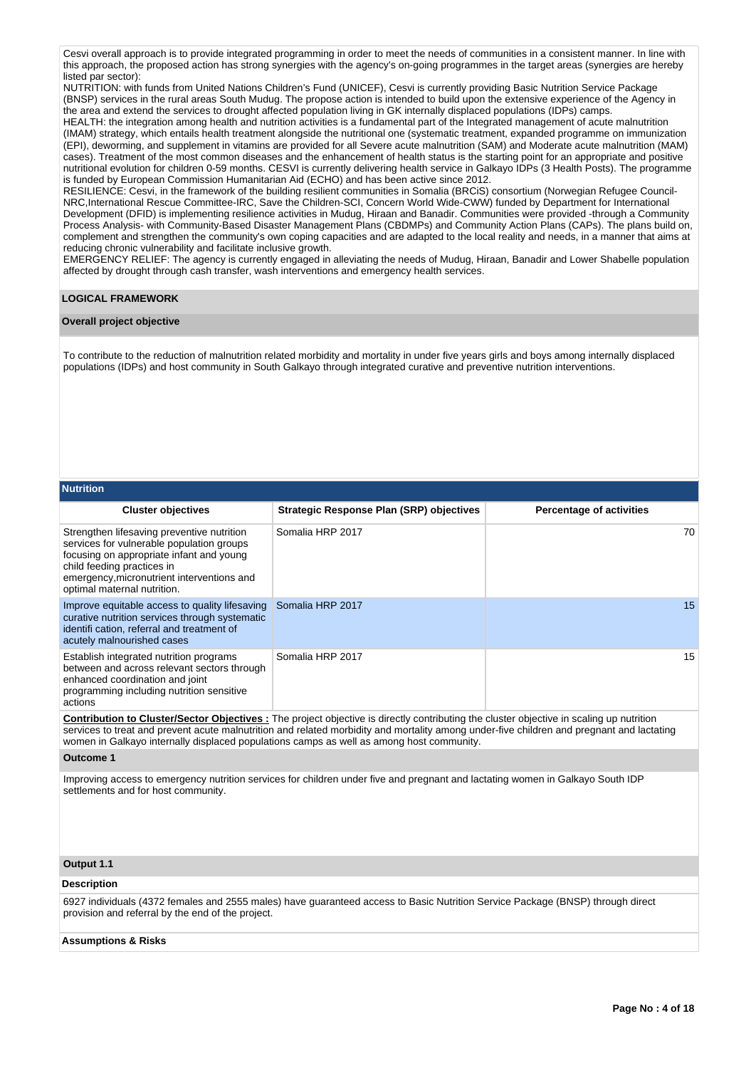Cesvi overall approach is to provide integrated programming in order to meet the needs of communities in a consistent manner. In line with this approach, the proposed action has strong synergies with the agency's on-going programmes in the target areas (synergies are hereby listed par sector):

NUTRITION: with funds from United Nations Children's Fund (UNICEF), Cesvi is currently providing Basic Nutrition Service Package (BNSP) services in the rural areas South Mudug. The propose action is intended to build upon the extensive experience of the Agency in the area and extend the services to drought affected population living in GK internally displaced populations (IDPs) camps.

HEALTH: the integration among health and nutrition activities is a fundamental part of the Integrated management of acute malnutrition (IMAM) strategy, which entails health treatment alongside the nutritional one (systematic treatment, expanded programme on immunization (EPI), deworming, and supplement in vitamins are provided for all Severe acute malnutrition (SAM) and Moderate acute malnutrition (MAM) cases). Treatment of the most common diseases and the enhancement of health status is the starting point for an appropriate and positive nutritional evolution for children 0-59 months. CESVI is currently delivering health service in Galkayo IDPs (3 Health Posts). The programme is funded by European Commission Humanitarian Aid (ECHO) and has been active since 2012.

RESILIENCE: Cesvi, in the framework of the building resilient communities in Somalia (BRCiS) consortium (Norwegian Refugee Council-NRC,International Rescue Committee-IRC, Save the Children-SCI, Concern World Wide-CWW) funded by Department for International Development (DFID) is implementing resilience activities in Mudug, Hiraan and Banadir. Communities were provided -through a Community Process Analysis- with Community-Based Disaster Management Plans (CBDMPs) and Community Action Plans (CAPs). The plans build on, complement and strengthen the community's own coping capacities and are adapted to the local reality and needs, in a manner that aims at reducing chronic vulnerability and facilitate inclusive growth.

EMERGENCY RELIEF: The agency is currently engaged in alleviating the needs of Mudug, Hiraan, Banadir and Lower Shabelle population affected by drought through cash transfer, wash interventions and emergency health services.

### **LOGICAL FRAMEWORK**

### **Overall project objective**

To contribute to the reduction of malnutrition related morbidity and mortality in under five years girls and boys among internally displaced populations (IDPs) and host community in South Galkayo through integrated curative and preventive nutrition interventions.

#### **Nutrition**

| <b>Cluster objectives</b>                                                                                                                                                                                                                      | <b>Strategic Response Plan (SRP) objectives</b> | <b>Percentage of activities</b> |
|------------------------------------------------------------------------------------------------------------------------------------------------------------------------------------------------------------------------------------------------|-------------------------------------------------|---------------------------------|
| Strengthen lifesaving preventive nutrition<br>services for vulnerable population groups<br>focusing on appropriate infant and young<br>child feeding practices in<br>emergency, micronutrient interventions and<br>optimal maternal nutrition. | Somalia HRP 2017                                | 70                              |
| Improve equitable access to quality lifesaving<br>curative nutrition services through systematic<br>identifi cation, referral and treatment of<br>acutely malnourished cases                                                                   | Somalia HRP 2017                                | 15                              |
| Establish integrated nutrition programs<br>between and across relevant sectors through<br>enhanced coordination and joint<br>programming including nutrition sensitive<br>actions                                                              | Somalia HRP 2017                                | 15                              |

**Contribution to Cluster/Sector Objectives :** The project objective is directly contributing the cluster objective in scaling up nutrition services to treat and prevent acute malnutrition and related morbidity and mortality among under-five children and pregnant and lactating women in Galkayo internally displaced populations camps as well as among host community.

#### **Outcome 1**

Improving access to emergency nutrition services for children under five and pregnant and lactating women in Galkayo South IDP settlements and for host community.

#### **Output 1.1**

#### **Description**

6927 individuals (4372 females and 2555 males) have guaranteed access to Basic Nutrition Service Package (BNSP) through direct provision and referral by the end of the project.

#### **Assumptions & Risks**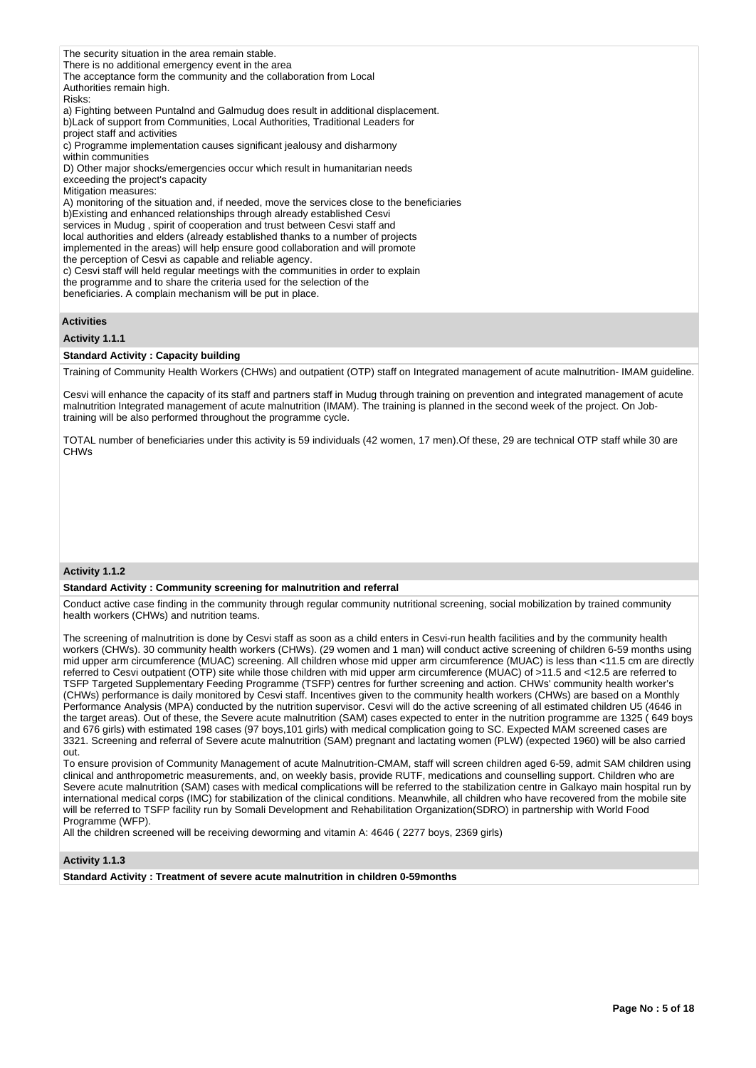The security situation in the area remain stable. There is no additional emergency event in the area The acceptance form the community and the collaboration from Local Authorities remain high. Risks: a) Fighting between Puntalnd and Galmudug does result in additional displacement. b)Lack of support from Communities, Local Authorities, Traditional Leaders for project staff and activities c) Programme implementation causes significant jealousy and disharmony within communities D) Other major shocks/emergencies occur which result in humanitarian needs exceeding the project's capacity Mitigation measures: A) monitoring of the situation and, if needed, move the services close to the beneficiaries b)Existing and enhanced relationships through already established Cesvi services in Mudug , spirit of cooperation and trust between Cesvi staff and local authorities and elders (already established thanks to a number of projects implemented in the areas) will help ensure good collaboration and will promote the perception of Cesvi as capable and reliable agency. c) Cesvi staff will held regular meetings with the communities in order to explain the programme and to share the criteria used for the selection of the beneficiaries. A complain mechanism will be put in place.

### **Activities**

# **Activity 1.1.1**

#### **Standard Activity : Capacity building**

Training of Community Health Workers (CHWs) and outpatient (OTP) staff on Integrated management of acute malnutrition- IMAM guideline.

Cesvi will enhance the capacity of its staff and partners staff in Mudug through training on prevention and integrated management of acute malnutrition Integrated management of acute malnutrition (IMAM). The training is planned in the second week of the project. On Jobtraining will be also performed throughout the programme cycle.

TOTAL number of beneficiaries under this activity is 59 individuals (42 women, 17 men).Of these, 29 are technical OTP staff while 30 are CHWs

#### **Activity 1.1.2**

### **Standard Activity : Community screening for malnutrition and referral**

Conduct active case finding in the community through regular community nutritional screening, social mobilization by trained community health workers (CHWs) and nutrition teams.

The screening of malnutrition is done by Cesvi staff as soon as a child enters in Cesvi-run health facilities and by the community health workers (CHWs). 30 community health workers (CHWs). (29 women and 1 man) will conduct active screening of children 6-59 months using mid upper arm circumference (MUAC) screening. All children whose mid upper arm circumference (MUAC) is less than <11.5 cm are directly referred to Cesvi outpatient (OTP) site while those children with mid upper arm circumference (MUAC) of >11.5 and <12.5 are referred to TSFP Targeted Supplementary Feeding Programme (TSFP) centres for further screening and action. CHWs' community health worker's (CHWs) performance is daily monitored by Cesvi staff. Incentives given to the community health workers (CHWs) are based on a Monthly Performance Analysis (MPA) conducted by the nutrition supervisor. Cesvi will do the active screening of all estimated children U5 (4646 in the target areas). Out of these, the Severe acute malnutrition (SAM) cases expected to enter in the nutrition programme are 1325 ( 649 boys and 676 girls) with estimated 198 cases (97 boys,101 girls) with medical complication going to SC. Expected MAM screened cases are 3321. Screening and referral of Severe acute malnutrition (SAM) pregnant and lactating women (PLW) (expected 1960) will be also carried out.

To ensure provision of Community Management of acute Malnutrition-CMAM, staff will screen children aged 6-59, admit SAM children using clinical and anthropometric measurements, and, on weekly basis, provide RUTF, medications and counselling support. Children who are Severe acute malnutrition (SAM) cases with medical complications will be referred to the stabilization centre in Galkayo main hospital run by international medical corps (IMC) for stabilization of the clinical conditions. Meanwhile, all children who have recovered from the mobile site will be referred to TSFP facility run by Somali Development and Rehabilitation Organization(SDRO) in partnership with World Food Programme (WFP).

All the children screened will be receiving deworming and vitamin A: 4646 ( 2277 boys, 2369 girls)

#### **Activity 1.1.3**

**Standard Activity : Treatment of severe acute malnutrition in children 0-59months**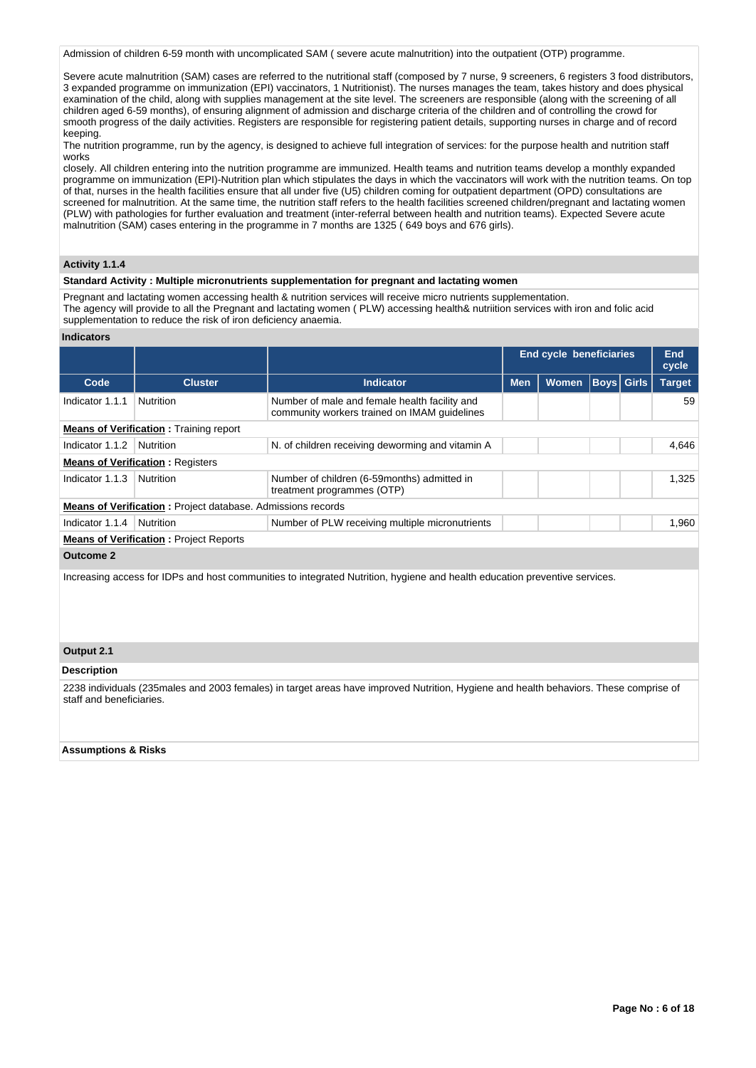Admission of children 6-59 month with uncomplicated SAM ( severe acute malnutrition) into the outpatient (OTP) programme.

Severe acute malnutrition (SAM) cases are referred to the nutritional staff (composed by 7 nurse, 9 screeners, 6 registers 3 food distributors, 3 expanded programme on immunization (EPI) vaccinators, 1 Nutritionist). The nurses manages the team, takes history and does physical examination of the child, along with supplies management at the site level. The screeners are responsible (along with the screening of all children aged 6-59 months), of ensuring alignment of admission and discharge criteria of the children and of controlling the crowd for smooth progress of the daily activities. Registers are responsible for registering patient details, supporting nurses in charge and of record keeping.

The nutrition programme, run by the agency, is designed to achieve full integration of services: for the purpose health and nutrition staff works

closely. All children entering into the nutrition programme are immunized. Health teams and nutrition teams develop a monthly expanded programme on immunization (EPI)-Nutrition plan which stipulates the days in which the vaccinators will work with the nutrition teams. On top of that, nurses in the health facilities ensure that all under five (U5) children coming for outpatient department (OPD) consultations are screened for malnutrition. At the same time, the nutrition staff refers to the health facilities screened children/pregnant and lactating women (PLW) with pathologies for further evaluation and treatment (inter-referral between health and nutrition teams). Expected Severe acute malnutrition (SAM) cases entering in the programme in 7 months are 1325 ( 649 boys and 676 girls).

### **Activity 1.1.4**

#### **Standard Activity : Multiple micronutrients supplementation for pregnant and lactating women**

Pregnant and lactating women accessing health & nutrition services will receive micro nutrients supplementation. The agency will provide to all the Pregnant and lactating women ( PLW) accessing health& nutriition services with iron and folic acid supplementation to reduce the risk of iron deficiency anaemia.

#### **Indicators**

|                                               |                                                                    |                                                                                               |            | <b>End cycle beneficiaries</b> |       |                   | End<br>cycle  |  |  |
|-----------------------------------------------|--------------------------------------------------------------------|-----------------------------------------------------------------------------------------------|------------|--------------------------------|-------|-------------------|---------------|--|--|
| Code                                          | <b>Cluster</b>                                                     | <b>Indicator</b>                                                                              | <b>Men</b> | <b>Women</b>                   |       | <b>Boys</b> Girls | <b>Target</b> |  |  |
| Indicator 1.1.1                               | <b>Nutrition</b>                                                   | Number of male and female health facility and<br>community workers trained on IMAM guidelines |            |                                |       |                   | 59            |  |  |
| <b>Means of Verification:</b> Training report |                                                                    |                                                                                               |            |                                |       |                   |               |  |  |
| Indicator 1.1.2                               | Nutrition                                                          | N. of children receiving deworming and vitamin A                                              |            |                                | 4.646 |                   |               |  |  |
|                                               | <b>Means of Verification: Registers</b>                            |                                                                                               |            |                                |       |                   |               |  |  |
| Indicator 1.1.3                               | <b>Nutrition</b>                                                   | Number of children (6-59 months) admitted in<br>treatment programmes (OTP)                    |            |                                |       |                   | 1.325         |  |  |
|                                               | <b>Means of Verification:</b> Project database. Admissions records |                                                                                               |            |                                |       |                   |               |  |  |
| Indicator 1.1.4                               | <b>Nutrition</b>                                                   | Number of PLW receiving multiple micronutrients                                               |            |                                |       |                   | 1.960         |  |  |
|                                               | <b>Means of Verification: Project Reports</b>                      |                                                                                               |            |                                |       |                   |               |  |  |
| Outcome 2                                     |                                                                    |                                                                                               |            |                                |       |                   |               |  |  |

Increasing access for IDPs and host communities to integrated Nutrition, hygiene and health education preventive services.

### **Output 2.1**

#### **Description**

2238 individuals (235males and 2003 females) in target areas have improved Nutrition, Hygiene and health behaviors. These comprise of staff and beneficiaries.

#### **Assumptions & Risks**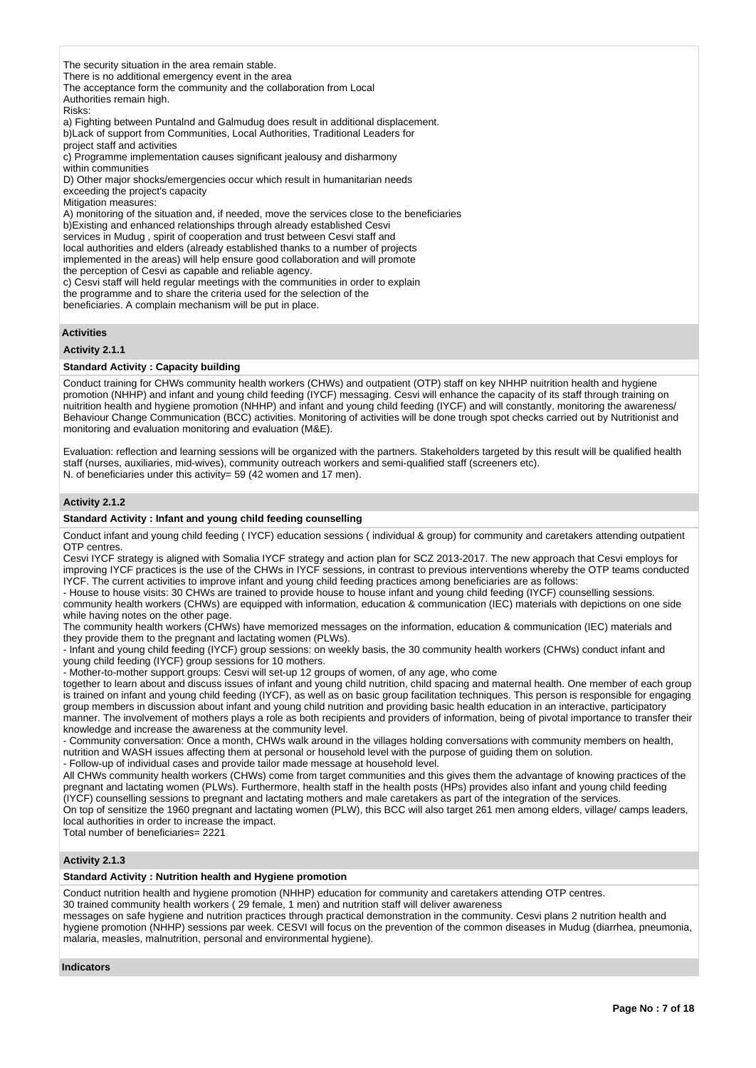The security situation in the area remain stable. There is no additional emergency event in the area The acceptance form the community and the collaboration from Local Authorities remain high. Risks: a) Fighting between Puntalnd and Galmudug does result in additional displacement. b)Lack of support from Communities, Local Authorities, Traditional Leaders for project staff and activities c) Programme implementation causes significant jealousy and disharmony within communities D) Other major shocks/emergencies occur which result in humanitarian needs exceeding the project's capacity Mitigation measures: A) monitoring of the situation and, if needed, move the services close to the beneficiaries b)Existing and enhanced relationships through already established Cesvi services in Mudug , spirit of cooperation and trust between Cesvi staff and local authorities and elders (already established thanks to a number of projects implemented in the areas) will help ensure good collaboration and will promote the perception of Cesvi as capable and reliable agency.

c) Cesvi staff will held regular meetings with the communities in order to explain the programme and to share the criteria used for the selection of the

beneficiaries. A complain mechanism will be put in place.

### **Activities**

### **Activity 2.1.1**

### **Standard Activity : Capacity building**

Conduct training for CHWs community health workers (CHWs) and outpatient (OTP) staff on key NHHP nuitrition health and hygiene promotion (NHHP) and infant and young child feeding (IYCF) messaging. Cesvi will enhance the capacity of its staff through training on nuitrition health and hygiene promotion (NHHP) and infant and young child feeding (IYCF) and will constantly, monitoring the awareness/ Behaviour Change Communication (BCC) activities. Monitoring of activities will be done trough spot checks carried out by Nutritionist and monitoring and evaluation monitoring and evaluation (M&E).

Evaluation: reflection and learning sessions will be organized with the partners. Stakeholders targeted by this result will be qualified health staff (nurses, auxiliaries, mid-wives), community outreach workers and semi-qualified staff (screeners etc). N. of beneficiaries under this activity= 59 (42 women and 17 men).

#### **Activity 2.1.2**

#### **Standard Activity : Infant and young child feeding counselling**

Conduct infant and young child feeding ( IYCF) education sessions ( individual & group) for community and caretakers attending outpatient OTP centres.

Cesvi IYCF strategy is aligned with Somalia IYCF strategy and action plan for SCZ 2013-2017. The new approach that Cesvi employs for improving IYCF practices is the use of the CHWs in IYCF sessions, in contrast to previous interventions whereby the OTP teams conducted IYCF. The current activities to improve infant and young child feeding practices among beneficiaries are as follows:

- House to house visits: 30 CHWs are trained to provide house to house infant and young child feeding (IYCF) counselling sessions. community health workers (CHWs) are equipped with information, education & communication (IEC) materials with depictions on one side while having notes on the other page.

The community health workers (CHWs) have memorized messages on the information, education & communication (IEC) materials and they provide them to the pregnant and lactating women (PLWs).

- Infant and young child feeding (IYCF) group sessions: on weekly basis, the 30 community health workers (CHWs) conduct infant and young child feeding (IYCF) group sessions for 10 mothers.

- Mother-to-mother support groups: Cesvi will set-up 12 groups of women, of any age, who come

together to learn about and discuss issues of infant and young child nutrition, child spacing and maternal health. One member of each group is trained on infant and young child feeding (IYCF), as well as on basic group facilitation techniques. This person is responsible for engaging group members in discussion about infant and young child nutrition and providing basic health education in an interactive, participatory manner. The involvement of mothers plays a role as both recipients and providers of information, being of pivotal importance to transfer their knowledge and increase the awareness at the community level.

- Community conversation: Once a month, CHWs walk around in the villages holding conversations with community members on health, nutrition and WASH issues affecting them at personal or household level with the purpose of guiding them on solution.

- Follow-up of individual cases and provide tailor made message at household level.

All CHWs community health workers (CHWs) come from target communities and this gives them the advantage of knowing practices of the pregnant and lactating women (PLWs). Furthermore, health staff in the health posts (HPs) provides also infant and young child feeding (IYCF) counselling sessions to pregnant and lactating mothers and male caretakers as part of the integration of the services.

On top of sensitize the 1960 pregnant and lactating women (PLW), this BCC will also target 261 men among elders, village/ camps leaders, local authorities in order to increase the impact.

Total number of beneficiaries= 2221

### **Activity 2.1.3**

### **Standard Activity : Nutrition health and Hygiene promotion**

Conduct nutrition health and hygiene promotion (NHHP) education for community and caretakers attending OTP centres.

30 trained community health workers ( 29 female, 1 men) and nutrition staff will deliver awareness

messages on safe hygiene and nutrition practices through practical demonstration in the community. Cesvi plans 2 nutrition health and hygiene promotion (NHHP) sessions par week. CESVI will focus on the prevention of the common diseases in Mudug (diarrhea, pneumonia, malaria, measles, malnutrition, personal and environmental hygiene).

#### **Indicators**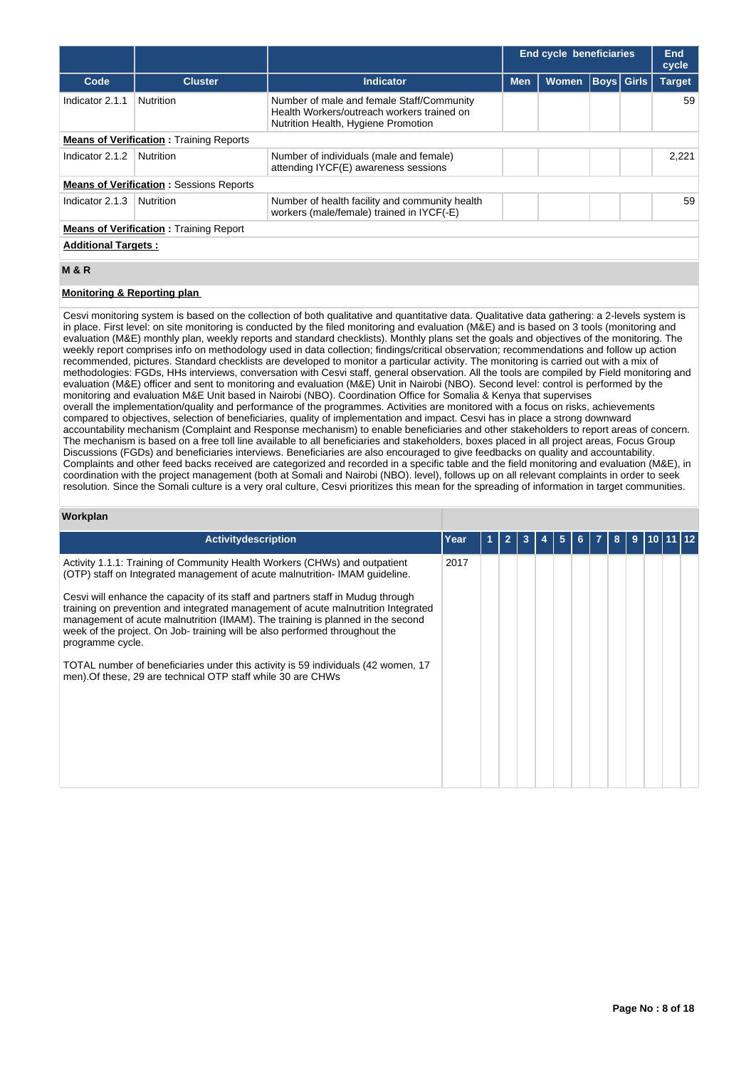|                                                |                                                |                                                                                                                                |            | <b>End cycle beneficiaries</b> |  |                   | End<br>cycle  |  |  |  |
|------------------------------------------------|------------------------------------------------|--------------------------------------------------------------------------------------------------------------------------------|------------|--------------------------------|--|-------------------|---------------|--|--|--|
| Code                                           | <b>Cluster</b>                                 | <b>Indicator</b>                                                                                                               | <b>Men</b> | <b>Women</b>                   |  | <b>Boys</b> Girls | <b>Target</b> |  |  |  |
| Indicator 2.1.1                                | <b>Nutrition</b>                               | Number of male and female Staff/Community<br>Health Workers/outreach workers trained on<br>Nutrition Health, Hygiene Promotion |            |                                |  |                   | 59            |  |  |  |
| <b>Means of Verification:</b> Training Reports |                                                |                                                                                                                                |            |                                |  |                   |               |  |  |  |
| Indicator 2.1.2                                | Nutrition                                      | Number of individuals (male and female)<br>attending IYCF(E) awareness sessions                                                |            |                                |  |                   | 2,221         |  |  |  |
|                                                | <b>Means of Verification: Sessions Reports</b> |                                                                                                                                |            |                                |  |                   |               |  |  |  |
| Indicator 2.1.3                                | Nutrition                                      | Number of health facility and community health<br>workers (male/female) trained in IYCF(-E)                                    |            |                                |  |                   | 59            |  |  |  |
|                                                | <b>Means of Verification:</b> Training Report  |                                                                                                                                |            |                                |  |                   |               |  |  |  |
| <b>Additional Targets:</b>                     |                                                |                                                                                                                                |            |                                |  |                   |               |  |  |  |
| <b>M&amp;R</b>                                 |                                                |                                                                                                                                |            |                                |  |                   |               |  |  |  |

# **Monitoring & Reporting plan**

Cesvi monitoring system is based on the collection of both qualitative and quantitative data. Qualitative data gathering: a 2-levels system is in place. First level: on site monitoring is conducted by the filed monitoring and evaluation (M&E) and is based on 3 tools (monitoring and evaluation (M&E) monthly plan, weekly reports and standard checklists). Monthly plans set the goals and objectives of the monitoring. The weekly report comprises info on methodology used in data collection; findings/critical observation; recommendations and follow up action recommended, pictures. Standard checklists are developed to monitor a particular activity. The monitoring is carried out with a mix of methodologies: FGDs, HHs interviews, conversation with Cesvi staff, general observation. All the tools are compiled by Field monitoring and evaluation (M&E) officer and sent to monitoring and evaluation (M&E) Unit in Nairobi (NBO). Second level: control is performed by the monitoring and evaluation M&E Unit based in Nairobi (NBO). Coordination Office for Somalia & Kenya that supervises overall the implementation/quality and performance of the programmes. Activities are monitored with a focus on risks, achievements compared to objectives, selection of beneficiaries, quality of implementation and impact. Cesvi has in place a strong downward accountability mechanism (Complaint and Response mechanism) to enable beneficiaries and other stakeholders to report areas of concern. The mechanism is based on a free toll line available to all beneficiaries and stakeholders, boxes placed in all project areas, Focus Group Discussions (FGDs) and beneficiaries interviews. Beneficiaries are also encouraged to give feedbacks on quality and accountability. Complaints and other feed backs received are categorized and recorded in a specific table and the field monitoring and evaluation (M&E), in coordination with the project management (both at Somali and Nairobi (NBO). level), follows up on all relevant complaints in order to seek resolution. Since the Somali culture is a very oral culture, Cesvi prioritizes this mean for the spreading of information in target communities.

### **Workplan**

| Activitydescription                                                                                                                                                                                                                                                                                                                                        | Year |  |  |  | 8 | 9 |  |  |
|------------------------------------------------------------------------------------------------------------------------------------------------------------------------------------------------------------------------------------------------------------------------------------------------------------------------------------------------------------|------|--|--|--|---|---|--|--|
| Activity 1.1.1: Training of Community Health Workers (CHWs) and outpatient<br>(OTP) staff on Integrated management of acute malnutrition- IMAM guideline.                                                                                                                                                                                                  | 2017 |  |  |  |   |   |  |  |
| Cesvi will enhance the capacity of its staff and partners staff in Mudug through<br>training on prevention and integrated management of acute malnutrition Integrated<br>management of acute malnutrition (IMAM). The training is planned in the second<br>week of the project. On Job- training will be also performed throughout the<br>programme cycle. |      |  |  |  |   |   |  |  |
| TOTAL number of beneficiaries under this activity is 59 individuals (42 women, 17<br>men). Of these, 29 are technical OTP staff while 30 are CHWs                                                                                                                                                                                                          |      |  |  |  |   |   |  |  |
|                                                                                                                                                                                                                                                                                                                                                            |      |  |  |  |   |   |  |  |
|                                                                                                                                                                                                                                                                                                                                                            |      |  |  |  |   |   |  |  |
|                                                                                                                                                                                                                                                                                                                                                            |      |  |  |  |   |   |  |  |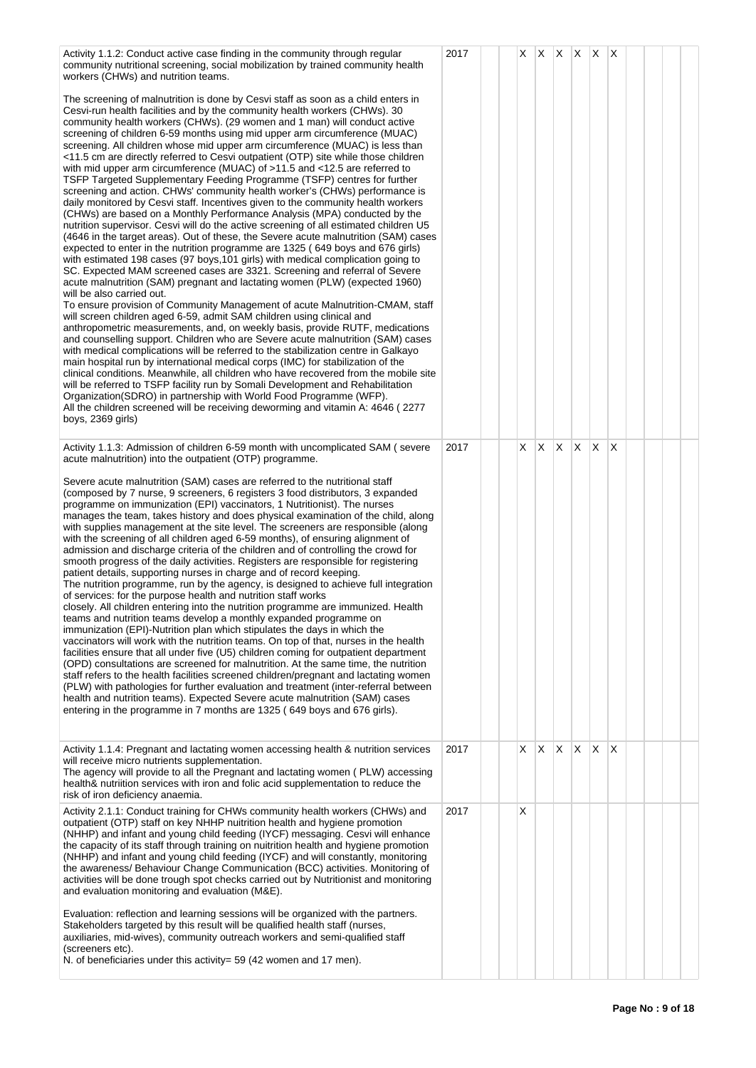| Activity 1.1.2: Conduct active case finding in the community through regular<br>community nutritional screening, social mobilization by trained community health<br>workers (CHWs) and nutrition teams.                                                                                                                                                                                                                                                                                                                                                                                                                                                                                                                                                                                                                                                                                                                                                                                                                                                                                                                                                                                                                                                                                                                                                                                                                                                                                                                                                                                                                                                                                                                                                                                                                                                                                                                                                                                                                                                                                                                                                                                                                                                                                                                     | 2017 |    | $X \mid X$ |          | $X$ $X$ $X$ $X$ |          |   |  |  |
|-----------------------------------------------------------------------------------------------------------------------------------------------------------------------------------------------------------------------------------------------------------------------------------------------------------------------------------------------------------------------------------------------------------------------------------------------------------------------------------------------------------------------------------------------------------------------------------------------------------------------------------------------------------------------------------------------------------------------------------------------------------------------------------------------------------------------------------------------------------------------------------------------------------------------------------------------------------------------------------------------------------------------------------------------------------------------------------------------------------------------------------------------------------------------------------------------------------------------------------------------------------------------------------------------------------------------------------------------------------------------------------------------------------------------------------------------------------------------------------------------------------------------------------------------------------------------------------------------------------------------------------------------------------------------------------------------------------------------------------------------------------------------------------------------------------------------------------------------------------------------------------------------------------------------------------------------------------------------------------------------------------------------------------------------------------------------------------------------------------------------------------------------------------------------------------------------------------------------------------------------------------------------------------------------------------------------------|------|----|------------|----------|-----------------|----------|---|--|--|
| The screening of malnutrition is done by Cesvi staff as soon as a child enters in<br>Cesvi-run health facilities and by the community health workers (CHWs). 30<br>community health workers (CHWs). (29 women and 1 man) will conduct active<br>screening of children 6-59 months using mid upper arm circumference (MUAC)<br>screening. All children whose mid upper arm circumference (MUAC) is less than<br><11.5 cm are directly referred to Cesvi outpatient (OTP) site while those children<br>with mid upper arm circumference (MUAC) of >11.5 and <12.5 are referred to<br>TSFP Targeted Supplementary Feeding Programme (TSFP) centres for further<br>screening and action. CHWs' community health worker's (CHWs) performance is<br>daily monitored by Cesvi staff. Incentives given to the community health workers<br>(CHWs) are based on a Monthly Performance Analysis (MPA) conducted by the<br>nutrition supervisor. Cesvi will do the active screening of all estimated children U5<br>(4646 in the target areas). Out of these, the Severe acute malnutrition (SAM) cases<br>expected to enter in the nutrition programme are 1325 (649 boys and 676 girls)<br>with estimated 198 cases (97 boys, 101 girls) with medical complication going to<br>SC. Expected MAM screened cases are 3321. Screening and referral of Severe<br>acute malnutrition (SAM) pregnant and lactating women (PLW) (expected 1960)<br>will be also carried out.<br>To ensure provision of Community Management of acute Malnutrition-CMAM, staff<br>will screen children aged 6-59, admit SAM children using clinical and<br>anthropometric measurements, and, on weekly basis, provide RUTF, medications<br>and counselling support. Children who are Severe acute malnutrition (SAM) cases<br>with medical complications will be referred to the stabilization centre in Galkayo<br>main hospital run by international medical corps (IMC) for stabilization of the<br>clinical conditions. Meanwhile, all children who have recovered from the mobile site<br>will be referred to TSFP facility run by Somali Development and Rehabilitation<br>Organization (SDRO) in partnership with World Food Programme (WFP).<br>All the children screened will be receiving deworming and vitamin A: 4646 (2277)<br>boys, 2369 girls) |      |    |            |          |                 |          |   |  |  |
| Activity 1.1.3: Admission of children 6-59 month with uncomplicated SAM (severe<br>acute malnutrition) into the outpatient (OTP) programme.                                                                                                                                                                                                                                                                                                                                                                                                                                                                                                                                                                                                                                                                                                                                                                                                                                                                                                                                                                                                                                                                                                                                                                                                                                                                                                                                                                                                                                                                                                                                                                                                                                                                                                                                                                                                                                                                                                                                                                                                                                                                                                                                                                                 | 2017 | X. | X          | X.       | X.              | IX.      | X |  |  |
| Severe acute malnutrition (SAM) cases are referred to the nutritional staff<br>(composed by 7 nurse, 9 screeners, 6 registers 3 food distributors, 3 expanded<br>programme on immunization (EPI) vaccinators, 1 Nutritionist). The nurses<br>manages the team, takes history and does physical examination of the child, along<br>with supplies management at the site level. The screeners are responsible (along<br>with the screening of all children aged 6-59 months), of ensuring alignment of<br>admission and discharge criteria of the children and of controlling the crowd for<br>smooth progress of the daily activities. Registers are responsible for registering<br>patient details, supporting nurses in charge and of record keeping.<br>The nutrition programme, run by the agency, is designed to achieve full integration<br>of services: for the purpose health and nutrition staff works<br>closely. All children entering into the nutrition programme are immunized. Health<br>teams and nutrition teams develop a monthly expanded programme on<br>immunization (EPI)-Nutrition plan which stipulates the days in which the<br>vaccinators will work with the nutrition teams. On top of that, nurses in the health<br>facilities ensure that all under five (U5) children coming for outpatient department<br>(OPD) consultations are screened for malnutrition. At the same time, the nutrition<br>staff refers to the health facilities screened children/pregnant and lactating women<br>(PLW) with pathologies for further evaluation and treatment (inter-referral between<br>health and nutrition teams). Expected Severe acute malnutrition (SAM) cases<br>entering in the programme in 7 months are 1325 (649 boys and 676 girls).                                                                                                                                                                                                                                                                                                                                                                                                                                                                                                                                                        |      |    |            |          |                 |          |   |  |  |
| Activity 1.1.4: Pregnant and lactating women accessing health & nutrition services<br>will receive micro nutrients supplementation.<br>The agency will provide to all the Pregnant and lactating women (PLW) accessing<br>health& nutriition services with iron and folic acid supplementation to reduce the<br>risk of iron deficiency anaemia.                                                                                                                                                                                                                                                                                                                                                                                                                                                                                                                                                                                                                                                                                                                                                                                                                                                                                                                                                                                                                                                                                                                                                                                                                                                                                                                                                                                                                                                                                                                                                                                                                                                                                                                                                                                                                                                                                                                                                                            | 2017 | X. | X          | $\times$ | X.              | <b>X</b> | X |  |  |
| Activity 2.1.1: Conduct training for CHWs community health workers (CHWs) and<br>outpatient (OTP) staff on key NHHP nuitrition health and hygiene promotion<br>(NHHP) and infant and young child feeding (IYCF) messaging. Cesvi will enhance<br>the capacity of its staff through training on nuitrition health and hygiene promotion<br>(NHHP) and infant and young child feeding (IYCF) and will constantly, monitoring<br>the awareness/ Behaviour Change Communication (BCC) activities. Monitoring of<br>activities will be done trough spot checks carried out by Nutritionist and monitoring<br>and evaluation monitoring and evaluation (M&E).<br>Evaluation: reflection and learning sessions will be organized with the partners.                                                                                                                                                                                                                                                                                                                                                                                                                                                                                                                                                                                                                                                                                                                                                                                                                                                                                                                                                                                                                                                                                                                                                                                                                                                                                                                                                                                                                                                                                                                                                                                | 2017 | X  |            |          |                 |          |   |  |  |
| Stakeholders targeted by this result will be qualified health staff (nurses,<br>auxiliaries, mid-wives), community outreach workers and semi-qualified staff<br>(screeners etc).<br>N. of beneficiaries under this activity = 59 (42 women and 17 men).                                                                                                                                                                                                                                                                                                                                                                                                                                                                                                                                                                                                                                                                                                                                                                                                                                                                                                                                                                                                                                                                                                                                                                                                                                                                                                                                                                                                                                                                                                                                                                                                                                                                                                                                                                                                                                                                                                                                                                                                                                                                     |      |    |            |          |                 |          |   |  |  |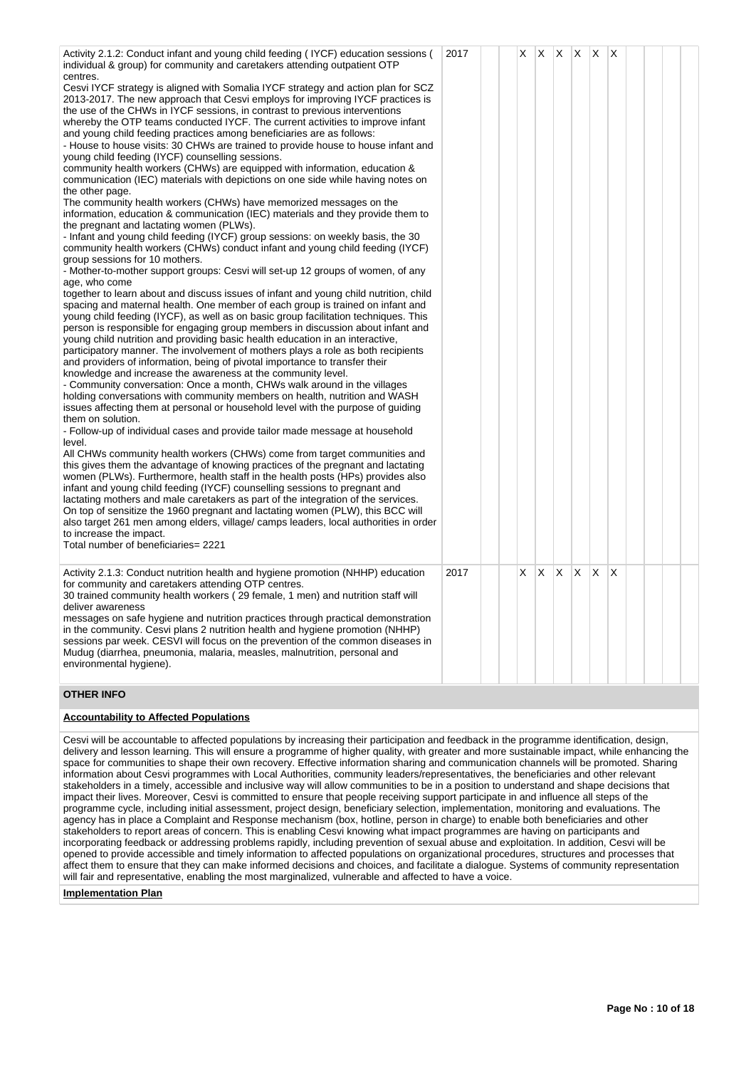| Activity 2.1.2: Conduct infant and young child feeding (IYCF) education sessions (<br>individual & group) for community and caretakers attending outpatient OTP                                                                                                                                                                                                                                                                                                                                                                                                                                                                                                                                                                                                                                                                                                                                                                                                                                                                                                                                                                                                                                                                                                                                                                                                                                                                                                                                                                                                                                                                                                                                                                                                                                                                                                                                                                                                                                                                                                                                                                                                                                                                                                                                                                                                                                                                                                                                                                                                                                                                                                                                                                                                                                                                                                                                                                                                               | 2017 | X | X. | IX.      | ΙX. | $\mathsf{I} \mathsf{X}$ | $\mathsf{I} \mathsf{X}$ |  |  |
|-------------------------------------------------------------------------------------------------------------------------------------------------------------------------------------------------------------------------------------------------------------------------------------------------------------------------------------------------------------------------------------------------------------------------------------------------------------------------------------------------------------------------------------------------------------------------------------------------------------------------------------------------------------------------------------------------------------------------------------------------------------------------------------------------------------------------------------------------------------------------------------------------------------------------------------------------------------------------------------------------------------------------------------------------------------------------------------------------------------------------------------------------------------------------------------------------------------------------------------------------------------------------------------------------------------------------------------------------------------------------------------------------------------------------------------------------------------------------------------------------------------------------------------------------------------------------------------------------------------------------------------------------------------------------------------------------------------------------------------------------------------------------------------------------------------------------------------------------------------------------------------------------------------------------------------------------------------------------------------------------------------------------------------------------------------------------------------------------------------------------------------------------------------------------------------------------------------------------------------------------------------------------------------------------------------------------------------------------------------------------------------------------------------------------------------------------------------------------------------------------------------------------------------------------------------------------------------------------------------------------------------------------------------------------------------------------------------------------------------------------------------------------------------------------------------------------------------------------------------------------------------------------------------------------------------------------------------------------------|------|---|----|----------|-----|-------------------------|-------------------------|--|--|
| centres.<br>Cesvi IYCF strategy is aligned with Somalia IYCF strategy and action plan for SCZ<br>2013-2017. The new approach that Cesvi employs for improving IYCF practices is<br>the use of the CHWs in IYCF sessions, in contrast to previous interventions<br>whereby the OTP teams conducted IYCF. The current activities to improve infant<br>and young child feeding practices among beneficiaries are as follows:<br>- House to house visits: 30 CHWs are trained to provide house to house infant and<br>young child feeding (IYCF) counselling sessions.<br>community health workers (CHWs) are equipped with information, education &<br>communication (IEC) materials with depictions on one side while having notes on<br>the other page.<br>The community health workers (CHWs) have memorized messages on the<br>information, education & communication (IEC) materials and they provide them to<br>the pregnant and lactating women (PLWs).<br>- Infant and young child feeding (IYCF) group sessions: on weekly basis, the 30<br>community health workers (CHWs) conduct infant and young child feeding (IYCF)<br>group sessions for 10 mothers.<br>- Mother-to-mother support groups: Cesvi will set-up 12 groups of women, of any<br>age, who come<br>together to learn about and discuss issues of infant and young child nutrition, child<br>spacing and maternal health. One member of each group is trained on infant and<br>young child feeding (IYCF), as well as on basic group facilitation techniques. This<br>person is responsible for engaging group members in discussion about infant and<br>young child nutrition and providing basic health education in an interactive,<br>participatory manner. The involvement of mothers plays a role as both recipients<br>and providers of information, being of pivotal importance to transfer their<br>knowledge and increase the awareness at the community level.<br>- Community conversation: Once a month, CHWs walk around in the villages<br>holding conversations with community members on health, nutrition and WASH<br>issues affecting them at personal or household level with the purpose of guiding<br>them on solution.<br>- Follow-up of individual cases and provide tailor made message at household<br>level.<br>All CHWs community health workers (CHWs) come from target communities and<br>this gives them the advantage of knowing practices of the pregnant and lactating<br>women (PLWs). Furthermore, health staff in the health posts (HPs) provides also<br>infant and young child feeding (IYCF) counselling sessions to pregnant and<br>lactating mothers and male caretakers as part of the integration of the services.<br>On top of sensitize the 1960 pregnant and lactating women (PLW), this BCC will<br>also target 261 men among elders, village/camps leaders, local authorities in order<br>to increase the impact.<br>Total number of beneficiaries= 2221 |      |   |    |          |     |                         |                         |  |  |
|                                                                                                                                                                                                                                                                                                                                                                                                                                                                                                                                                                                                                                                                                                                                                                                                                                                                                                                                                                                                                                                                                                                                                                                                                                                                                                                                                                                                                                                                                                                                                                                                                                                                                                                                                                                                                                                                                                                                                                                                                                                                                                                                                                                                                                                                                                                                                                                                                                                                                                                                                                                                                                                                                                                                                                                                                                                                                                                                                                               |      |   |    |          |     |                         |                         |  |  |
| Activity 2.1.3: Conduct nutrition health and hygiene promotion (NHHP) education<br>for community and caretakers attending OTP centres.<br>30 trained community health workers (29 female, 1 men) and nutrition staff will<br>deliver awareness<br>messages on safe hygiene and nutrition practices through practical demonstration<br>in the community. Cesvi plans 2 nutrition health and hygiene promotion (NHHP)<br>sessions par week. CESVI will focus on the prevention of the common diseases in<br>Mudug (diarrhea, pneumonia, malaria, measles, malnutrition, personal and<br>environmental hygiene).                                                                                                                                                                                                                                                                                                                                                                                                                                                                                                                                                                                                                                                                                                                                                                                                                                                                                                                                                                                                                                                                                                                                                                                                                                                                                                                                                                                                                                                                                                                                                                                                                                                                                                                                                                                                                                                                                                                                                                                                                                                                                                                                                                                                                                                                                                                                                                 | 2017 | X | X. | $\times$ | IX. | $\mathsf{X}$            | X                       |  |  |
|                                                                                                                                                                                                                                                                                                                                                                                                                                                                                                                                                                                                                                                                                                                                                                                                                                                                                                                                                                                                                                                                                                                                                                                                                                                                                                                                                                                                                                                                                                                                                                                                                                                                                                                                                                                                                                                                                                                                                                                                                                                                                                                                                                                                                                                                                                                                                                                                                                                                                                                                                                                                                                                                                                                                                                                                                                                                                                                                                                               |      |   |    |          |     |                         |                         |  |  |

### **OTHER INFO**

# **Accountability to Affected Populations**

Cesvi will be accountable to affected populations by increasing their participation and feedback in the programme identification, design, delivery and lesson learning. This will ensure a programme of higher quality, with greater and more sustainable impact, while enhancing the space for communities to shape their own recovery. Effective information sharing and communication channels will be promoted. Sharing information about Cesvi programmes with Local Authorities, community leaders/representatives, the beneficiaries and other relevant stakeholders in a timely, accessible and inclusive way will allow communities to be in a position to understand and shape decisions that impact their lives. Moreover, Cesvi is committed to ensure that people receiving support participate in and influence all steps of the programme cycle, including initial assessment, project design, beneficiary selection, implementation, monitoring and evaluations. The agency has in place a Complaint and Response mechanism (box, hotline, person in charge) to enable both beneficiaries and other stakeholders to report areas of concern. This is enabling Cesvi knowing what impact programmes are having on participants and stakeholders to report areas of concern. This is enabling Cesvi knowing what impact programmes a incorporating feedback or addressing problems rapidly, including prevention of sexual abuse and exploitation. In addition, Cesvi will be opened to provide accessible and timely information to affected populations on organizational procedures, structures and processes that affect them to ensure that they can make informed decisions and choices, and facilitate a dialogue. Systems of community representation will fair and representative, enabling the most marginalized, vulnerable and affected to have a voice.

### **Implementation Plan**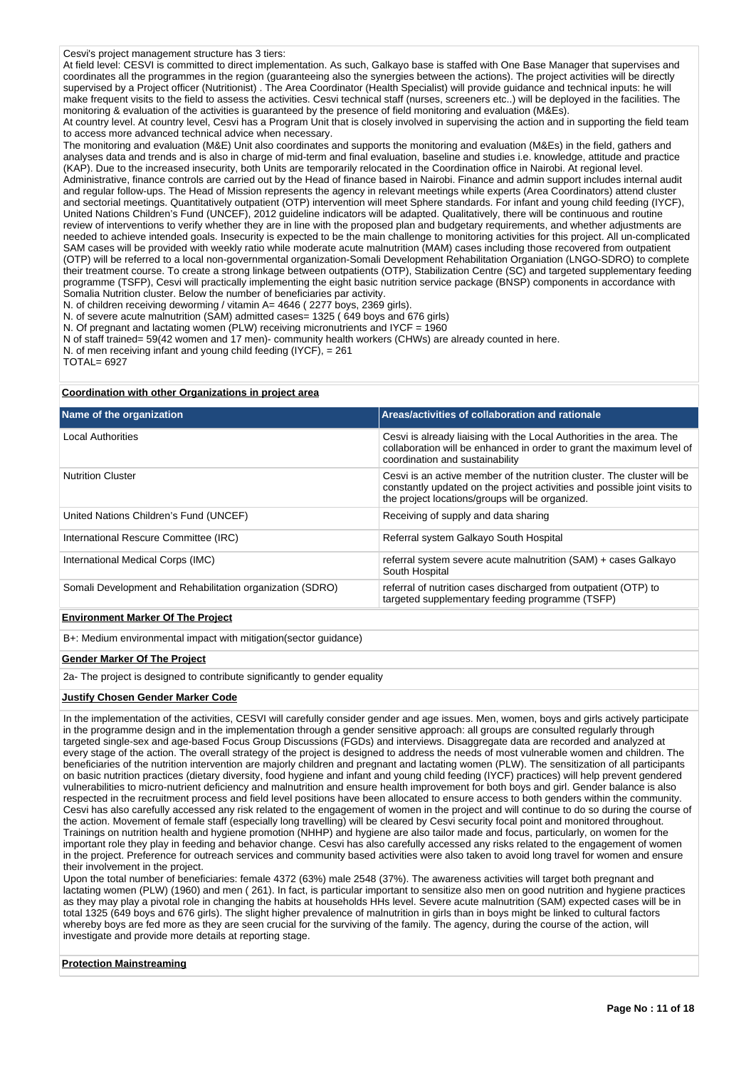### Cesvi's project management structure has 3 tiers:

At field level: CESVI is committed to direct implementation. As such, Galkayo base is staffed with One Base Manager that supervises and coordinates all the programmes in the region (guaranteeing also the synergies between the actions). The project activities will be directly supervised by a Project officer (Nutritionist) . The Area Coordinator (Health Specialist) will provide guidance and technical inputs: he will make frequent visits to the field to assess the activities. Cesvi technical staff (nurses, screeners etc..) will be deployed in the facilities. The monitoring & evaluation of the activities is guaranteed by the presence of field monitoring and evaluation (M&Es). At country level. At country level, Cesvi has a Program Unit that is closely involved in supervising the action and in supporting the field team

to access more advanced technical advice when necessary. The monitoring and evaluation (M&E) Unit also coordinates and supports the monitoring and evaluation (M&Es) in the field, gathers and analyses data and trends and is also in charge of mid-term and final evaluation, baseline and studies i.e. knowledge, attitude and practice (KAP). Due to the increased insecurity, both Units are temporarily relocated in the Coordination office in Nairobi. At regional level. Administrative, finance controls are carried out by the Head of finance based in Nairobi. Finance and admin support includes internal audit and regular follow-ups. The Head of Mission represents the agency in relevant meetings while experts (Area Coordinators) attend cluster and sectorial meetings. Quantitatively outpatient (OTP) intervention will meet Sphere standards. For infant and young child feeding (IYCF), United Nations Children's Fund (UNCEF), 2012 guideline indicators will be adapted. Qualitatively, there will be continuous and routine review of interventions to verify whether they are in line with the proposed plan and budgetary requirements, and whether adjustments are needed to achieve intended goals. Insecurity is expected to be the main challenge to monitoring activities for this project. All un-complicated SAM cases will be provided with weekly ratio while moderate acute malnutrition (MAM) cases including those recovered from outpatient (OTP) will be referred to a local non-governmental organization-Somali Development Rehabilitation Organiation (LNGO-SDRO) to complete their treatment course. To create a strong linkage between outpatients (OTP), Stabilization Centre (SC) and targeted supplementary feeding programme (TSFP), Cesvi will practically implementing the eight basic nutrition service package (BNSP) components in accordance with Somalia Nutrition cluster. Below the number of beneficiaries par activity.

N. of children receiving deworming / vitamin A= 4646 (2277 boys, 2369 girls).

- N. of severe acute malnutrition (SAM) admitted cases= 1325 ( 649 boys and 676 girls)
- N. Of pregnant and lactating women (PLW) receiving micronutrients and IYCF = 1960
- N of staff trained= 59(42 women and 17 men)- community health workers (CHWs) are already counted in here.
- N. of men receiving infant and young child feeding (IYCF), = 261

TOTAL= 6927

### **Coordination with other Organizations in project area**

| Name of the organization                                  | Areas/activities of collaboration and rationale                                                                                                                                                         |
|-----------------------------------------------------------|---------------------------------------------------------------------------------------------------------------------------------------------------------------------------------------------------------|
| <b>Local Authorities</b>                                  | Cesvi is already liaising with the Local Authorities in the area. The<br>collaboration will be enhanced in order to grant the maximum level of<br>coordination and sustainability                       |
| <b>Nutrition Cluster</b>                                  | Cesvi is an active member of the nutrition cluster. The cluster will be<br>constantly updated on the project activities and possible joint visits to<br>the project locations/groups will be organized. |
| United Nations Children's Fund (UNCEF)                    | Receiving of supply and data sharing                                                                                                                                                                    |
| International Rescure Committee (IRC)                     | Referral system Galkayo South Hospital                                                                                                                                                                  |
| International Medical Corps (IMC)                         | referral system severe acute malnutrition (SAM) + cases Galkayo<br>South Hospital                                                                                                                       |
| Somali Development and Rehabilitation organization (SDRO) | referral of nutrition cases discharged from outpatient (OTP) to<br>targeted supplementary feeding programme (TSFP)                                                                                      |
| <b>Environment Marker Of The Project</b>                  |                                                                                                                                                                                                         |

B+: Medium environmental impact with mitigation(sector guidance)

#### **Gender Marker Of The Project**

2a- The project is designed to contribute significantly to gender equality

#### **Justify Chosen Gender Marker Code**

In the implementation of the activities, CESVI will carefully consider gender and age issues. Men, women, boys and girls actively participate in the programme design and in the implementation through a gender sensitive approach: all groups are consulted regularly through targeted single-sex and age-based Focus Group Discussions (FGDs) and interviews. Disaggregate data are recorded and analyzed at every stage of the action. The overall strategy of the project is designed to address the needs of most vulnerable women and children. The beneficiaries of the nutrition intervention are majorly children and pregnant and lactating women (PLW). The sensitization of all participants on basic nutrition practices (dietary diversity, food hygiene and infant and young child feeding (IYCF) practices) will help prevent gendered vulnerabilities to micro-nutrient deficiency and malnutrition and ensure health improvement for both boys and girl. Gender balance is also respected in the recruitment process and field level positions have been allocated to ensure access to both genders within the community. Cesvi has also carefully accessed any risk related to the engagement of women in the project and will continue to do so during the course of the action. Movement of female staff (especially long travelling) will be cleared by Cesvi security focal point and monitored throughout. Trainings on nutrition health and hygiene promotion (NHHP) and hygiene are also tailor made and focus, particularly, on women for the important role they play in feeding and behavior change. Cesvi has also carefully accessed any risks related to the engagement of women in the project. Preference for outreach services and community based activities were also taken to avoid long travel for women and ensure their involvement in the project.

Upon the total number of beneficiaries: female 4372 (63%) male 2548 (37%). The awareness activities will target both pregnant and lactating women (PLW) (1960) and men ( 261). In fact, is particular important to sensitize also men on good nutrition and hygiene practices as they may play a pivotal role in changing the habits at households HHs level. Severe acute malnutrition (SAM) expected cases will be in total 1325 (649 boys and 676 girls). The slight higher prevalence of malnutrition in girls than in boys might be linked to cultural factors whereby boys are fed more as they are seen crucial for the surviving of the family. The agency, during the course of the action, will investigate and provide more details at reporting stage.

#### **Protection Mainstreaming**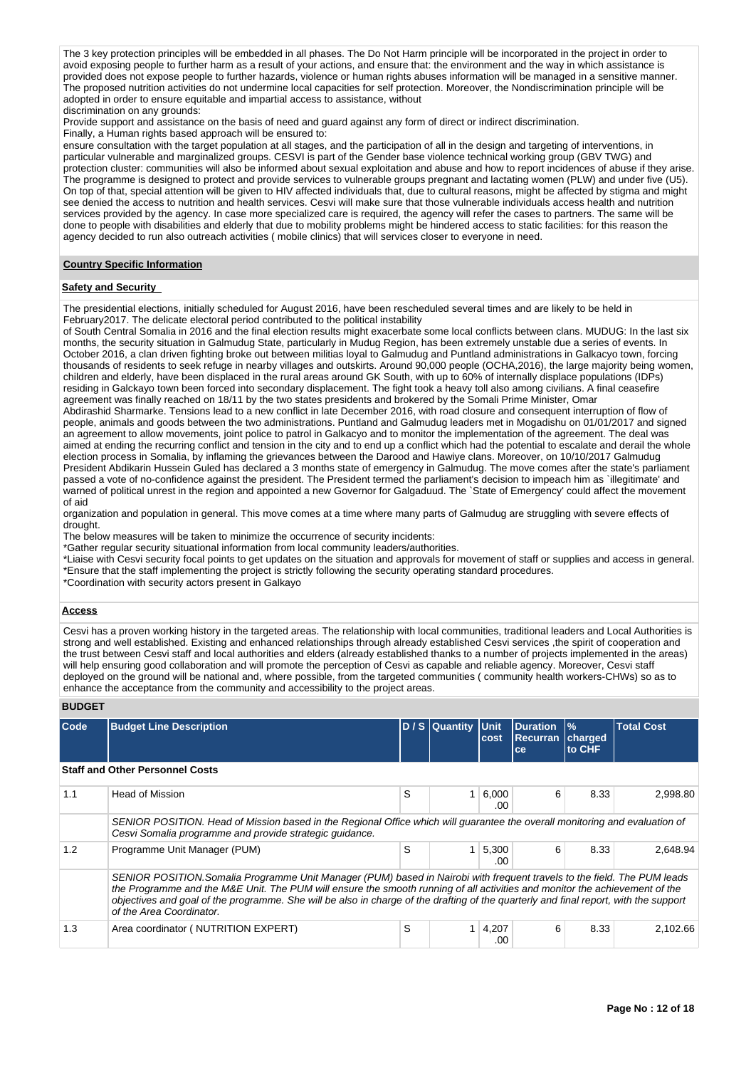The 3 key protection principles will be embedded in all phases. The Do Not Harm principle will be incorporated in the project in order to avoid exposing people to further harm as a result of your actions, and ensure that: the environment and the way in which assistance is provided does not expose people to further hazards, violence or human rights abuses information will be managed in a sensitive manner. The proposed nutrition activities do not undermine local capacities for self protection. Moreover, the Nondiscrimination principle will be adopted in order to ensure equitable and impartial access to assistance, without

#### discrimination on any grounds:

Provide support and assistance on the basis of need and guard against any form of direct or indirect discrimination.

Finally, a Human rights based approach will be ensured to:

ensure consultation with the target population at all stages, and the participation of all in the design and targeting of interventions, in particular vulnerable and marginalized groups. CESVI is part of the Gender base violence technical working group (GBV TWG) and protection cluster: communities will also be informed about sexual exploitation and abuse and how to report incidences of abuse if they arise. The programme is designed to protect and provide services to vulnerable groups pregnant and lactating women (PLW) and under five (U5). On top of that, special attention will be given to HIV affected individuals that, due to cultural reasons, might be affected by stigma and might see denied the access to nutrition and health services. Cesvi will make sure that those vulnerable individuals access health and nutrition services provided by the agency. In case more specialized care is required, the agency will refer the cases to partners. The same will be done to people with disabilities and elderly that due to mobility problems might be hindered access to static facilities: for this reason the agency decided to run also outreach activities ( mobile clinics) that will services closer to everyone in need.

#### **Country Specific Information**

### **Safety and Security**

The presidential elections, initially scheduled for August 2016, have been rescheduled several times and are likely to be held in February2017. The delicate electoral period contributed to the political instability

of South Central Somalia in 2016 and the final election results might exacerbate some local conflicts between clans. MUDUG: In the last six months, the security situation in Galmudug State, particularly in Mudug Region, has been extremely unstable due a series of events. In October 2016, a clan driven fighting broke out between militias loyal to Galmudug and Puntland administrations in Galkacyo town, forcing thousands of residents to seek refuge in nearby villages and outskirts. Around 90,000 people (OCHA,2016), the large majority being women, children and elderly, have been displaced in the rural areas around GK South, with up to 60% of internally displace populations (IDPs) residing in Galckayo town been forced into secondary displacement. The fight took a heavy toll also among civilians. A final ceasefire agreement was finally reached on 18/11 by the two states presidents and brokered by the Somali Prime Minister, Omar

Abdirashid Sharmarke. Tensions lead to a new conflict in late December 2016, with road closure and consequent interruption of flow of people, animals and goods between the two administrations. Puntland and Galmudug leaders met in Mogadishu on 01/01/2017 and signed an agreement to allow movements, joint police to patrol in Galkacyo and to monitor the implementation of the agreement. The deal was aimed at ending the recurring conflict and tension in the city and to end up a conflict which had the potential to escalate and derail the whole election process in Somalia, by inflaming the grievances between the Darood and Hawiye clans. Moreover, on 10/10/2017 Galmudug President Abdikarin Hussein Guled has declared a 3 months state of emergency in Galmudug. The move comes after the state's parliament passed a vote of no-confidence against the president. The President termed the parliament's decision to impeach him as `illegitimate' and .<br>warned of political unrest in the region and appointed a new Governor for Galgaduud. The `State of Emergency' could affect the movement of aid

organization and population in general. This move comes at a time where many parts of Galmudug are struggling with severe effects of drought.

The below measures will be taken to minimize the occurrence of security incidents:

\*Gather regular security situational information from local community leaders/authorities.

\*Liaise with Cesvi security focal points to get updates on the situation and approvals for movement of staff or supplies and access in general. \*Ensure that the staff implementing the project is strictly following the security operating standard procedures.

\*Coordination with security actors present in Galkayo

### **Access**

Cesvi has a proven working history in the targeted areas. The relationship with local communities, traditional leaders and Local Authorities is strong and well established. Existing and enhanced relationships through already established Cesvi services ,the spirit of cooperation and the trust between Cesvi staff and local authorities and elders (already established thanks to a number of projects implemented in the areas) will help ensuring good collaboration and will promote the perception of Cesvi as capable and reliable agency. Moreover, Cesvi staff deployed on the ground will be national and, where possible, from the targeted communities ( community health workers-CHWs) so as to enhance the acceptance from the community and accessibility to the project areas.

### **BUDGET**

| Code                                   | <b>Budget Line Description</b>                                                                                                                                                                                                                                                                                                                                                                                             |   | D / S Quantity | <b>Unit</b><br>cost | <b>Duration</b><br><b>Recurran</b><br>ce | $\frac{9}{6}$<br>charged<br>to CHF | <b>Total Cost</b> |  |  |  |  |  |  |
|----------------------------------------|----------------------------------------------------------------------------------------------------------------------------------------------------------------------------------------------------------------------------------------------------------------------------------------------------------------------------------------------------------------------------------------------------------------------------|---|----------------|---------------------|------------------------------------------|------------------------------------|-------------------|--|--|--|--|--|--|
| <b>Staff and Other Personnel Costs</b> |                                                                                                                                                                                                                                                                                                                                                                                                                            |   |                |                     |                                          |                                    |                   |  |  |  |  |  |  |
| 1.1                                    | <b>Head of Mission</b>                                                                                                                                                                                                                                                                                                                                                                                                     | S | 1              | 6,000<br>.00        | 6                                        | 8.33                               | 2,998.80          |  |  |  |  |  |  |
|                                        | SENIOR POSITION. Head of Mission based in the Regional Office which will quarantee the overall monitoring and evaluation of<br>Cesvi Somalia programme and provide strategic quidance.                                                                                                                                                                                                                                     |   |                |                     |                                          |                                    |                   |  |  |  |  |  |  |
| 1.2                                    | Programme Unit Manager (PUM)                                                                                                                                                                                                                                                                                                                                                                                               | S |                | 5,300<br>.00        | 6                                        | 8.33                               | 2,648.94          |  |  |  |  |  |  |
|                                        | SENIOR POSITION.Somalia Programme Unit Manager (PUM) based in Nairobi with frequent travels to the field. The PUM leads<br>the Programme and the M&E Unit. The PUM will ensure the smooth running of all activities and monitor the achievement of the<br>objectives and goal of the programme. She will be also in charge of the drafting of the quarterly and final report, with the support<br>of the Area Coordinator. |   |                |                     |                                          |                                    |                   |  |  |  |  |  |  |
| 1.3                                    | Area coordinator ( NUTRITION EXPERT)                                                                                                                                                                                                                                                                                                                                                                                       | S | 1              | 4,207<br>.00        | 6                                        | 8.33                               | 2.102.66          |  |  |  |  |  |  |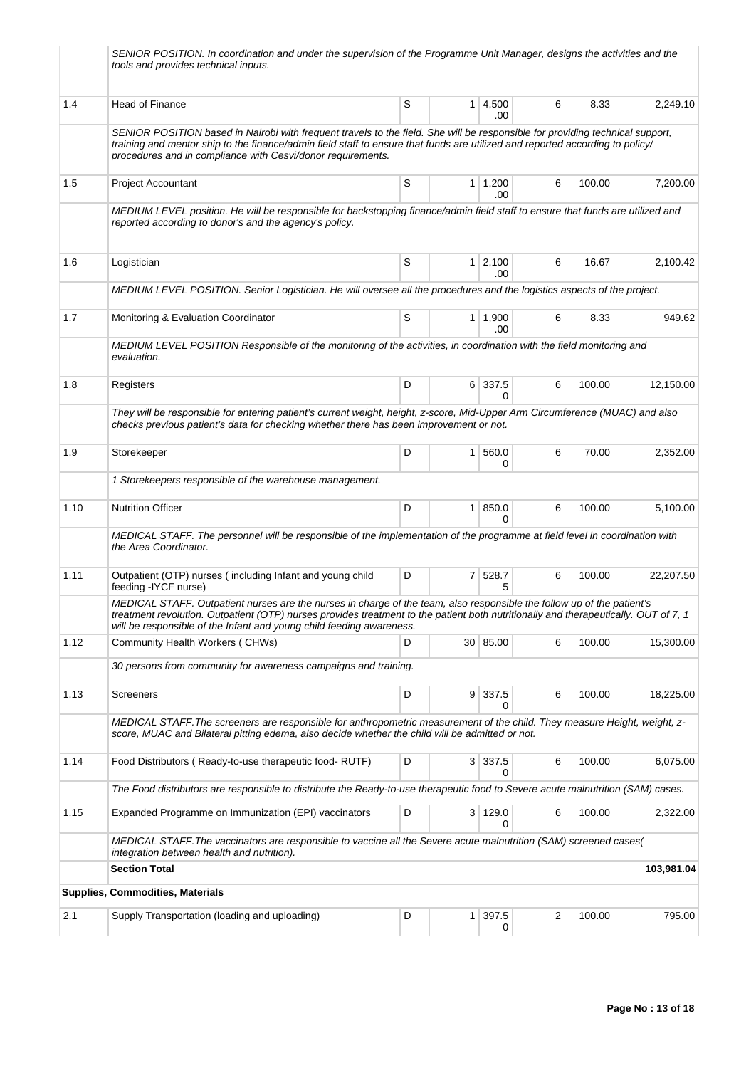|      | SENIOR POSITION. In coordination and under the supervision of the Programme Unit Manager, designs the activities and the<br>tools and provides technical inputs.                                                                                                                                                                      |   |                |                           |   |        |            |  |
|------|---------------------------------------------------------------------------------------------------------------------------------------------------------------------------------------------------------------------------------------------------------------------------------------------------------------------------------------|---|----------------|---------------------------|---|--------|------------|--|
| 1.4  | Head of Finance                                                                                                                                                                                                                                                                                                                       | S |                | $1 \, 4,500$<br>.00       | 6 | 8.33   | 2,249.10   |  |
|      | SENIOR POSITION based in Nairobi with frequent travels to the field. She will be responsible for providing technical support,<br>training and mentor ship to the finance/admin field staff to ensure that funds are utilized and reported according to policy/<br>procedures and in compliance with Cesvi/donor requirements.         |   |                |                           |   |        |            |  |
| 1.5  | <b>Project Accountant</b>                                                                                                                                                                                                                                                                                                             | S |                | $1 \mid 1,200$<br>.00     | 6 | 100.00 | 7,200.00   |  |
|      | MEDIUM LEVEL position. He will be responsible for backstopping finance/admin field staff to ensure that funds are utilized and<br>reported according to donor's and the agency's policy.                                                                                                                                              |   |                |                           |   |        |            |  |
| 1.6  | Logistician                                                                                                                                                                                                                                                                                                                           | S |                | $1 \ 2,100$<br>.00        | 6 | 16.67  | 2,100.42   |  |
|      | MEDIUM LEVEL POSITION. Senior Logistician. He will oversee all the procedures and the logistics aspects of the project.                                                                                                                                                                                                               |   |                |                           |   |        |            |  |
| 1.7  | Monitoring & Evaluation Coordinator                                                                                                                                                                                                                                                                                                   | S |                | $1 \mid 1,900$<br>.00     | 6 | 8.33   | 949.62     |  |
|      | MEDIUM LEVEL POSITION Responsible of the monitoring of the activities, in coordination with the field monitoring and<br>evaluation.                                                                                                                                                                                                   |   |                |                           |   |        |            |  |
| 1.8  | Registers                                                                                                                                                                                                                                                                                                                             | D |                | 6 337.5<br>$\Omega$       | 6 | 100.00 | 12,150.00  |  |
|      | They will be responsible for entering patient's current weight, height, z-score, Mid-Upper Arm Circumference (MUAC) and also<br>checks previous patient's data for checking whether there has been improvement or not.                                                                                                                |   |                |                           |   |        |            |  |
| 1.9  | Storekeeper                                                                                                                                                                                                                                                                                                                           | D | 1 <sup>1</sup> | 560.0<br>0                | 6 | 70.00  | 2,352.00   |  |
|      | 1 Storekeepers responsible of the warehouse management.                                                                                                                                                                                                                                                                               |   |                |                           |   |        |            |  |
| 1.10 | <b>Nutrition Officer</b>                                                                                                                                                                                                                                                                                                              | D |                | 1   850.0<br><sup>0</sup> | 6 | 100.00 | 5,100.00   |  |
|      | MEDICAL STAFF. The personnel will be responsible of the implementation of the programme at field level in coordination with<br>the Area Coordinator.                                                                                                                                                                                  |   |                |                           |   |        |            |  |
| 1.11 | Outpatient (OTP) nurses (including Infant and young child<br>feeding -IYCF nurse)                                                                                                                                                                                                                                                     | D |                | 7 528.7                   | 6 | 100.00 | 22,207.50  |  |
|      | MEDICAL STAFF. Outpatient nurses are the nurses in charge of the team, also responsible the follow up of the patient's<br>treatment revolution. Outpatient (OTP) nurses provides treatment to the patient both nutritionally and therapeutically. OUT of 7, 1<br>will be responsible of the Infant and young child feeding awareness. |   |                |                           |   |        |            |  |
| 1.12 | Community Health Workers (CHWs)                                                                                                                                                                                                                                                                                                       | D |                | 30 85.00                  | 6 | 100.00 | 15,300.00  |  |
|      | 30 persons from community for awareness campaigns and training.                                                                                                                                                                                                                                                                       |   |                |                           |   |        |            |  |
| 1.13 | Screeners                                                                                                                                                                                                                                                                                                                             | D |                | $9 \mid 337.5$<br>0       | 6 | 100.00 | 18,225.00  |  |
|      | MEDICAL STAFF. The screeners are responsible for anthropometric measurement of the child. They measure Height, weight, z-<br>score, MUAC and Bilateral pitting edema, also decide whether the child will be admitted or not.                                                                                                          |   |                |                           |   |        |            |  |
| 1.14 | Food Distributors (Ready-to-use therapeutic food-RUTF)                                                                                                                                                                                                                                                                                | D |                | 3 337.5<br>0              | 6 | 100.00 | 6,075.00   |  |
|      | The Food distributors are responsible to distribute the Ready-to-use therapeutic food to Severe acute malnutrition (SAM) cases.                                                                                                                                                                                                       |   |                |                           |   |        |            |  |
| 1.15 | Expanded Programme on Immunization (EPI) vaccinators                                                                                                                                                                                                                                                                                  | D |                | 3 129.0                   | 6 | 100.00 | 2,322.00   |  |
|      | MEDICAL STAFF. The vaccinators are responsible to vaccine all the Severe acute malnutrition (SAM) screened cases(<br>integration between health and nutrition).                                                                                                                                                                       |   |                |                           |   |        |            |  |
|      | <b>Section Total</b>                                                                                                                                                                                                                                                                                                                  |   |                |                           |   |        | 103,981.04 |  |
|      | Supplies, Commodities, Materials                                                                                                                                                                                                                                                                                                      |   |                |                           |   |        |            |  |
| 2.1  | Supply Transportation (loading and uploading)                                                                                                                                                                                                                                                                                         | D | 1 <sup>1</sup> | 397.5<br>0                | 2 | 100.00 | 795.00     |  |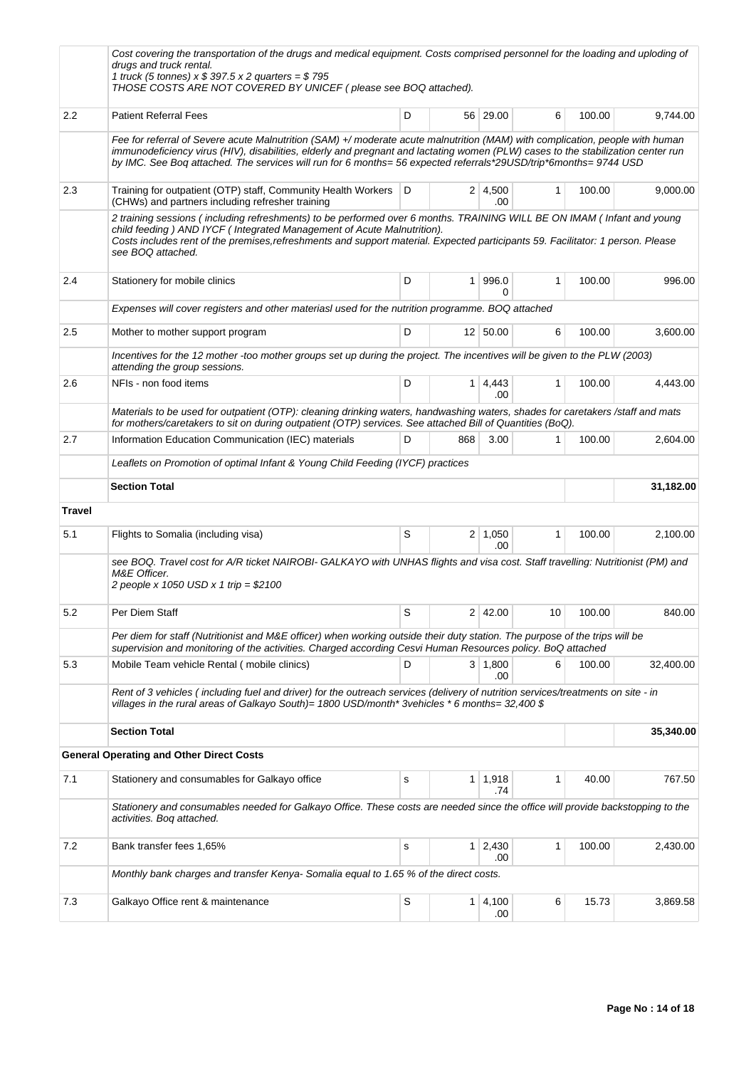|        | Cost covering the transportation of the drugs and medical equipment. Costs comprised personnel for the loading and uploding of<br>drugs and truck rental.<br>1 truck (5 tonnes) $x $ 397.5 x 2$ quarters = \$795<br>THOSE COSTS ARE NOT COVERED BY UNICEF (please see BOQ attached).                                                                                                  |   |                |                       |              |        |           |  |
|--------|---------------------------------------------------------------------------------------------------------------------------------------------------------------------------------------------------------------------------------------------------------------------------------------------------------------------------------------------------------------------------------------|---|----------------|-----------------------|--------------|--------|-----------|--|
| 2.2    | <b>Patient Referral Fees</b>                                                                                                                                                                                                                                                                                                                                                          | D |                | 56 29.00              | 6            | 100.00 | 9,744.00  |  |
|        | Fee for referral of Severe acute Malnutrition (SAM) +/ moderate acute malnutrition (MAM) with complication, people with human<br>immunodeficiency virus (HIV), disabilities, elderly and pregnant and lactating women (PLW) cases to the stabilization center run<br>by IMC. See Boq attached. The services will run for 6 months= 56 expected referrals*29USD/trip*6months= 9744 USD |   |                |                       |              |        |           |  |
| 2.3    | Training for outpatient (OTP) staff, Community Health Workers<br>(CHWs) and partners including refresher training                                                                                                                                                                                                                                                                     | D |                | $2 \mid 4,500$<br>.00 | 1            | 100.00 | 9,000.00  |  |
|        | 2 training sessions (including refreshments) to be performed over 6 months. TRAINING WILL BE ON IMAM (Infant and young<br>child feeding) AND IYCF (Integrated Management of Acute Malnutrition).<br>Costs includes rent of the premises, refreshments and support material. Expected participants 59. Facilitator: 1 person. Please<br>see BOQ attached.                              |   |                |                       |              |        |           |  |
| 2.4    | Stationery for mobile clinics                                                                                                                                                                                                                                                                                                                                                         | D | 1 <sup>1</sup> | 996.0<br>0            | $\mathbf{1}$ | 100.00 | 996.00    |  |
|        | Expenses will cover registers and other materiasl used for the nutrition programme. BOQ attached                                                                                                                                                                                                                                                                                      |   |                |                       |              |        |           |  |
| 2.5    | Mother to mother support program                                                                                                                                                                                                                                                                                                                                                      | D |                | 12 50.00              | 6            | 100.00 | 3,600.00  |  |
|        | Incentives for the 12 mother -too mother groups set up during the project. The incentives will be given to the PLW (2003)<br>attending the group sessions.                                                                                                                                                                                                                            |   |                |                       |              |        |           |  |
| 2.6    | NFIs - non food items                                                                                                                                                                                                                                                                                                                                                                 | D | 1 <sup>1</sup> | 4,443<br>.00          | 1            | 100.00 | 4,443.00  |  |
|        | Materials to be used for outpatient (OTP): cleaning drinking waters, handwashing waters, shades for caretakers/staff and mats<br>for mothers/caretakers to sit on during outpatient (OTP) services. See attached Bill of Quantities (BoQ).                                                                                                                                            |   |                |                       |              |        |           |  |
| 2.7    | Information Education Communication (IEC) materials                                                                                                                                                                                                                                                                                                                                   | D | 868            | 3.00                  | 1            | 100.00 | 2,604.00  |  |
|        | Leaflets on Promotion of optimal Infant & Young Child Feeding (IYCF) practices                                                                                                                                                                                                                                                                                                        |   |                |                       |              |        |           |  |
|        | <b>Section Total</b>                                                                                                                                                                                                                                                                                                                                                                  |   |                |                       |              |        | 31,182.00 |  |
| Travel |                                                                                                                                                                                                                                                                                                                                                                                       |   |                |                       |              |        |           |  |
| 5.1    | Flights to Somalia (including visa)                                                                                                                                                                                                                                                                                                                                                   | S |                | $2 \mid 1,050$<br>.00 | 1            | 100.00 | 2,100.00  |  |
|        | see BOQ. Travel cost for A/R ticket NAIROBI- GALKAYO with UNHAS flights and visa cost. Staff travelling: Nutritionist (PM) and<br>M&E Officer.<br>2 people x 1050 USD x 1 trip = $$2100$                                                                                                                                                                                              |   |                |                       |              |        |           |  |
| 5.2    | Per Diem Staff                                                                                                                                                                                                                                                                                                                                                                        | S | $\overline{2}$ | 42.00                 | 10           | 100.00 | 840.00    |  |
|        | Per diem for staff (Nutritionist and M&E officer) when working outside their duty station. The purpose of the trips will be<br>supervision and monitoring of the activities. Charged according Cesvi Human Resources policy. BoQ attached                                                                                                                                             |   |                |                       |              |        |           |  |
| 5.3    | Mobile Team vehicle Rental (mobile clinics)                                                                                                                                                                                                                                                                                                                                           | D |                | 3   1,800<br>.00      | 6            | 100.00 | 32,400.00 |  |
|        | Rent of 3 vehicles (including fuel and driver) for the outreach services (delivery of nutrition services/treatments on site - in<br>villages in the rural areas of Galkayo South)= 1800 USD/month* 3vehicles * 6 months= 32,400 \$                                                                                                                                                    |   |                |                       |              |        |           |  |
|        | <b>Section Total</b>                                                                                                                                                                                                                                                                                                                                                                  |   |                |                       |              |        | 35,340.00 |  |
|        | <b>General Operating and Other Direct Costs</b>                                                                                                                                                                                                                                                                                                                                       |   |                |                       |              |        |           |  |
| 7.1    | Stationery and consumables for Galkayo office                                                                                                                                                                                                                                                                                                                                         | s |                | $1 \mid 1,918$<br>.74 | 1            | 40.00  | 767.50    |  |
|        | Stationery and consumables needed for Galkayo Office. These costs are needed since the office will provide backstopping to the<br>activities. Bog attached.                                                                                                                                                                                                                           |   |                |                       |              |        |           |  |
| 7.2    | Bank transfer fees 1,65%                                                                                                                                                                                                                                                                                                                                                              | s |                | $1 \mid 2,430$<br>.00 | 1            | 100.00 | 2,430.00  |  |
|        | Monthly bank charges and transfer Kenya-Somalia equal to 1.65 % of the direct costs.                                                                                                                                                                                                                                                                                                  |   |                |                       |              |        |           |  |
| 7.3    | Galkayo Office rent & maintenance                                                                                                                                                                                                                                                                                                                                                     | S | 1 <sup>1</sup> | 4,100<br>.00          | 6            | 15.73  | 3,869.58  |  |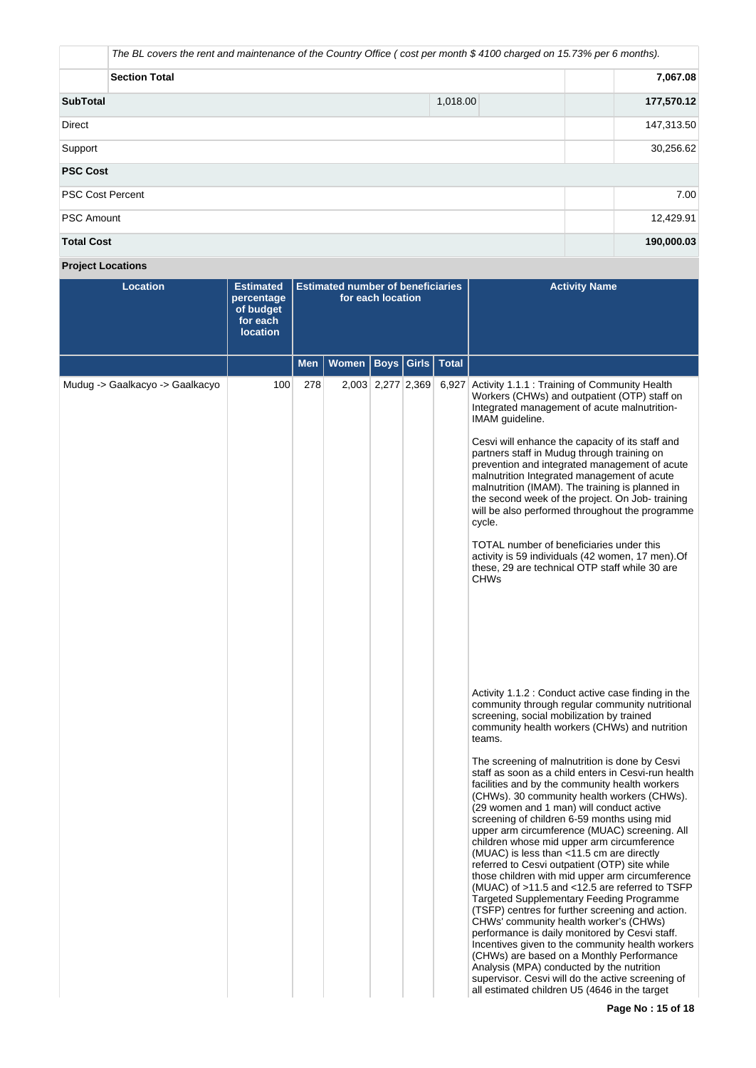|                         | The BL covers the rent and maintenance of the Country Office (cost per month \$4100 charged on 15.73% per 6 months). |            |  |  |  |  |  |
|-------------------------|----------------------------------------------------------------------------------------------------------------------|------------|--|--|--|--|--|
| <b>Section Total</b>    |                                                                                                                      |            |  |  |  |  |  |
| <b>SubTotal</b>         | 1,018.00                                                                                                             | 177,570.12 |  |  |  |  |  |
| <b>Direct</b>           |                                                                                                                      | 147,313.50 |  |  |  |  |  |
| Support                 |                                                                                                                      | 30,256.62  |  |  |  |  |  |
| <b>PSC Cost</b>         |                                                                                                                      |            |  |  |  |  |  |
| <b>PSC Cost Percent</b> |                                                                                                                      | 7.00       |  |  |  |  |  |
| <b>PSC Amount</b>       |                                                                                                                      | 12,429.91  |  |  |  |  |  |
| <b>Total Cost</b>       |                                                                                                                      | 190,000.03 |  |  |  |  |  |

**Project Locations**

| <b>Location</b>                 | <b>Estimated</b><br>percentage<br>of budget<br>for each<br><b>location</b> | <b>Estimated number of beneficiaries</b><br>for each location |       |                   |                             | <b>Activity Name</b>                                                                                                                                                                                                                                                                                                                                                                                                                                                                                                                                                                                                                                                                                                                                                                                                                                                                                                                                                                                                                                                                                                                                                                                                                                                                                                                                                                                                                                                                                                                                                                                                                                                              |
|---------------------------------|----------------------------------------------------------------------------|---------------------------------------------------------------|-------|-------------------|-----------------------------|-----------------------------------------------------------------------------------------------------------------------------------------------------------------------------------------------------------------------------------------------------------------------------------------------------------------------------------------------------------------------------------------------------------------------------------------------------------------------------------------------------------------------------------------------------------------------------------------------------------------------------------------------------------------------------------------------------------------------------------------------------------------------------------------------------------------------------------------------------------------------------------------------------------------------------------------------------------------------------------------------------------------------------------------------------------------------------------------------------------------------------------------------------------------------------------------------------------------------------------------------------------------------------------------------------------------------------------------------------------------------------------------------------------------------------------------------------------------------------------------------------------------------------------------------------------------------------------------------------------------------------------------------------------------------------------|
|                                 |                                                                            | <b>Men</b>                                                    | Women |                   | <b>Boys   Girls   Total</b> |                                                                                                                                                                                                                                                                                                                                                                                                                                                                                                                                                                                                                                                                                                                                                                                                                                                                                                                                                                                                                                                                                                                                                                                                                                                                                                                                                                                                                                                                                                                                                                                                                                                                                   |
| Mudug -> Gaalkacyo -> Gaalkacyo | 100                                                                        | 278                                                           |       | 2,003 2,277 2,369 |                             | 6,927 Activity 1.1.1 : Training of Community Health<br>Workers (CHWs) and outpatient (OTP) staff on<br>Integrated management of acute malnutrition-<br>IMAM guideline.<br>Cesvi will enhance the capacity of its staff and<br>partners staff in Mudug through training on<br>prevention and integrated management of acute<br>malnutrition Integrated management of acute<br>malnutrition (IMAM). The training is planned in<br>the second week of the project. On Job-training<br>will be also performed throughout the programme<br>cycle.<br>TOTAL number of beneficiaries under this<br>activity is 59 individuals (42 women, 17 men). Of<br>these, 29 are technical OTP staff while 30 are<br><b>CHWs</b><br>Activity 1.1.2 : Conduct active case finding in the<br>community through regular community nutritional<br>screening, social mobilization by trained<br>community health workers (CHWs) and nutrition<br>teams.<br>The screening of malnutrition is done by Cesvi<br>staff as soon as a child enters in Cesvi-run health<br>facilities and by the community health workers<br>(CHWs). 30 community health workers (CHWs).<br>(29 women and 1 man) will conduct active<br>screening of children 6-59 months using mid<br>upper arm circumference (MUAC) screening. All<br>children whose mid upper arm circumference<br>(MUAC) is less than <11.5 cm are directly<br>referred to Cesvi outpatient (OTP) site while<br>those children with mid upper arm circumference<br>(MUAC) of >11.5 and <12.5 are referred to TSFP<br>Targeted Supplementary Feeding Programme<br>(TSFP) centres for further screening and action.<br>CHWs' community health worker's (CHWs) |
|                                 |                                                                            |                                                               |       |                   |                             | performance is daily monitored by Cesvi staff.<br>Incentives given to the community health workers<br>(CHWs) are based on a Monthly Performance<br>Analysis (MPA) conducted by the nutrition<br>supervisor. Cesvi will do the active screening of<br>all estimated children U5 (4646 in the target                                                                                                                                                                                                                                                                                                                                                                                                                                                                                                                                                                                                                                                                                                                                                                                                                                                                                                                                                                                                                                                                                                                                                                                                                                                                                                                                                                                |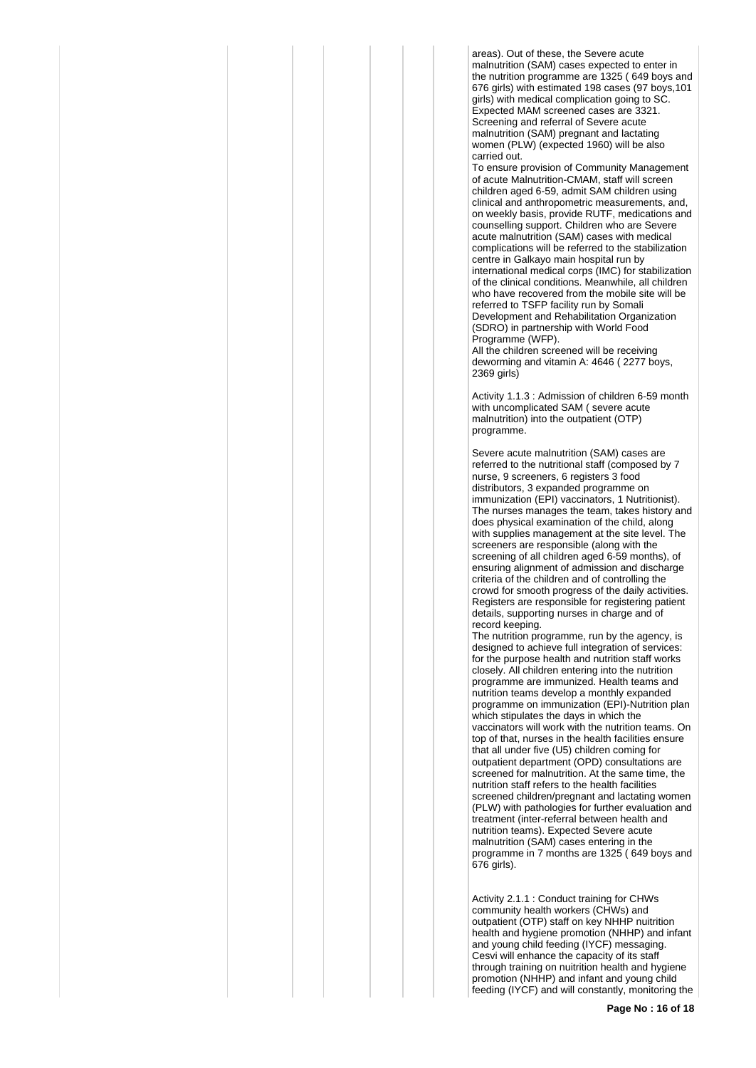areas). Out of these, the Severe acute malnutrition (SAM) cases expected to enter in the nutrition programme are 1325 (649 boys and 676 girls) with estimated 198 cases (97 boys,101 girls) with medical complication going to SC. Expected MAM screened cases are 3321. Screening and referral of Severe acute malnutrition (SAM) pregnant and lactating women (PLW) (expected 1960) will be also carried out.

To ensure provision of Community Management of acute Malnutrition-CMAM, staff will screen children aged 6-59, admit SAM children using clinical and anthropometric measurements, and, on weekly basis, provide RUTF, medications and counselling support. Children who are Severe acute malnutrition (SAM) cases with medical complications will be referred to the stabilization centre in Galkayo main hospital run by international medical corps (IMC) for stabilization of the clinical conditions. Meanwhile, all children who have recovered from the mobile site will be referred to TSFP facility run by Somali Development and Rehabilitation Organization (SDRO) in partnership with World Food Programme (WFP).

All the children screened will be receiving deworming and vitamin A: 4646 ( 2277 boys, 2369 girls)

Activity 1.1.3 : Admission of children 6-59 month with uncomplicated SAM ( severe acute malnutrition) into the outpatient (OTP) programme.

Severe acute malnutrition (SAM) cases are referred to the nutritional staff (composed by 7 nurse, 9 screeners, 6 registers 3 food distributors, 3 expanded programme on immunization (EPI) vaccinators, 1 Nutritionist). The nurses manages the team, takes history and does physical examination of the child, along with supplies management at the site level. The screeners are responsible (along with the screening of all children aged 6-59 months), of ensuring alignment of admission and discharge criteria of the children and of controlling the crowd for smooth progress of the daily activities. Registers are responsible for registering patient details, supporting nurses in charge and of record keeping.

The nutrition programme, run by the agency, is designed to achieve full integration of services: for the purpose health and nutrition staff works closely. All children entering into the nutrition programme are immunized. Health teams and nutrition teams develop a monthly expanded programme on immunization (EPI)-Nutrition plan which stipulates the days in which the vaccinators will work with the nutrition teams. On top of that, nurses in the health facilities ensure that all under five (U5) children coming for outpatient department (OPD) consultations are screened for malnutrition. At the same time, the nutrition staff refers to the health facilities screened children/pregnant and lactating women (PLW) with pathologies for further evaluation and treatment (inter-referral between health and nutrition teams). Expected Severe acute malnutrition (SAM) cases entering in the programme in 7 months are 1325 ( 649 boys and 676 girls).

Activity 2.1.1 : Conduct training for CHWs community health workers (CHWs) and outpatient (OTP) staff on key NHHP nuitrition health and hygiene promotion (NHHP) and infant and young child feeding (IYCF) messaging. Cesvi will enhance the capacity of its staff through training on nuitrition health and hygiene promotion (NHHP) and infant and young child feeding (IYCF) and will constantly, monitoring the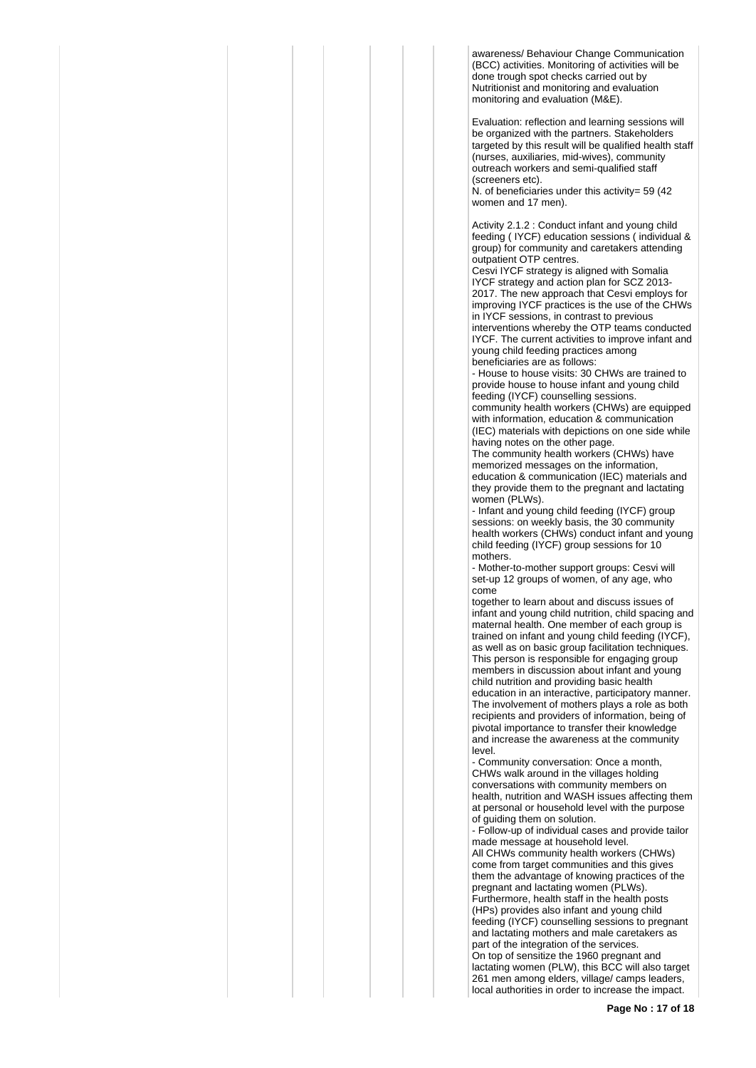awareness/ Behaviour Change Communication (BCC) activities. Monitoring of activities will be done trough spot checks carried out by Nutritionist and monitoring and evaluation monitoring and evaluation (M&E).

Evaluation: reflection and learning sessions will be organized with the partners. Stakeholders targeted by this result will be qualified health staff (nurses, auxiliaries, mid-wives), community outreach workers and semi-qualified staff (screeners etc).

N. of beneficiaries under this activity= 59 (42) women and 17 men).

Activity 2.1.2 : Conduct infant and young child feeding ( IYCF) education sessions ( individual & group) for community and caretakers attending outpatient OTP centres.

Cesvi IYCF strategy is aligned with Somalia IYCF strategy and action plan for SCZ 2013- 2017. The new approach that Cesvi employs for improving IYCF practices is the use of the CHWs in IYCF sessions, in contrast to previous interventions whereby the OTP teams conducted IYCF. The current activities to improve infant and young child feeding practices among beneficiaries are as follows:

- House to house visits: 30 CHWs are trained to provide house to house infant and young child feeding (IYCF) counselling sessions. community health workers (CHWs) are equipped with information, education & communication (IEC) materials with depictions on one side while having notes on the other page.

The community health workers (CHWs) have memorized messages on the information, education & communication (IEC) materials and they provide them to the pregnant and lactating women (PLWs).

- Infant and young child feeding (IYCF) group sessions: on weekly basis, the 30 community health workers (CHWs) conduct infant and young child feeding (IYCF) group sessions for 10 mothers.

- Mother-to-mother support groups: Cesvi will set-up 12 groups of women, of any age, who come

together to learn about and discuss issues of infant and young child nutrition, child spacing and maternal health. One member of each group is trained on infant and young child feeding (IYCF), as well as on basic group facilitation techniques. This person is responsible for engaging group members in discussion about infant and young child nutrition and providing basic health education in an interactive, participatory manner. The involvement of mothers plays a role as both recipients and providers of information, being of pivotal importance to transfer their knowledge and increase the awareness at the community level.

- Community conversation: Once a month, CHWs walk around in the villages holding conversations with community members on health, nutrition and WASH issues affecting them at personal or household level with the purpose of guiding them on solution.

- Follow-up of individual cases and provide tailor made message at household level. All CHWs community health workers (CHWs) come from target communities and this gives them the advantage of knowing practices of the pregnant and lactating women (PLWs). Furthermore, health staff in the health posts (HPs) provides also infant and young child feeding (IYCF) counselling sessions to pregnant and lactating mothers and male caretakers as part of the integration of the services. On top of sensitize the 1960 pregnant and lactating women (PLW), this BCC will also target 261 men among elders, village/ camps leaders, local authorities in order to increase the impact.